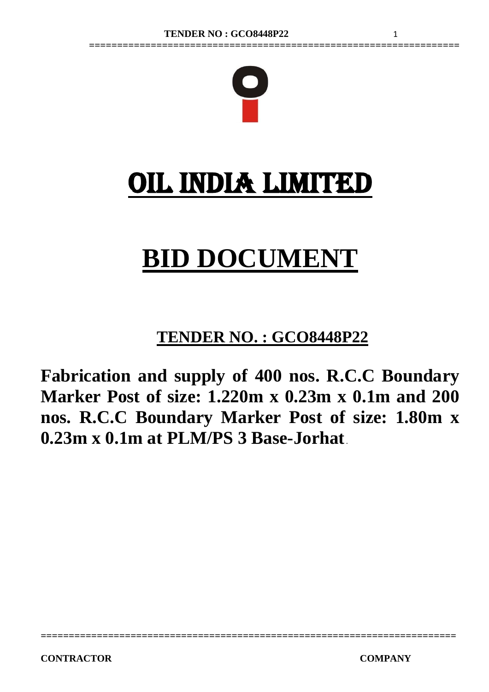

**==================================================================**

# OIL INDIA LIMITED

# **BID DOCUMENT**

# **TENDER NO. : GCO8448P22**

**Fabrication and supply of 400 nos. R.C.C Boundary Marker Post of size: 1.220m x 0.23m x 0.1m and 200 nos. R.C.C Boundary Marker Post of size: 1.80m x 0.23m x 0.1m at PLM/PS 3 Base-Jorhat**.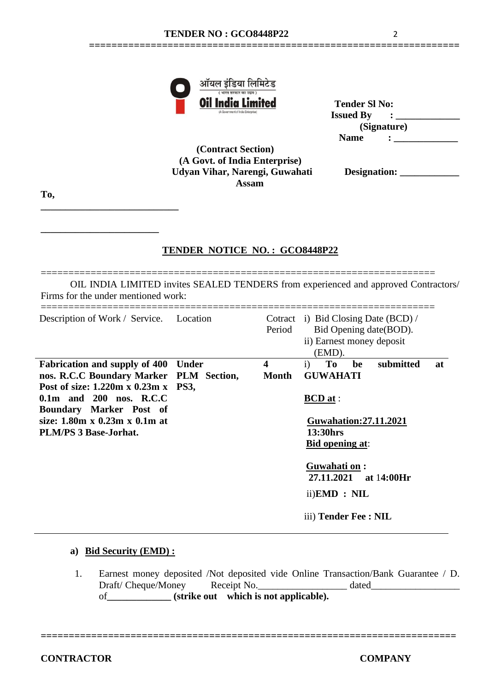**==================================================================**



| Oil India Limited                  | <b>Tender SI No:</b> |
|------------------------------------|----------------------|
| (A Government of India Enterprise) | <b>Issued By</b>     |
|                                    | (Signature)          |
|                                    | <b>Name</b>          |

 **(Contract Section) (A Govt. of India Enterprise) Udyan Vihar, Narengi, Guwahati Assam**

**To,**

**\_\_\_\_\_\_\_\_\_\_\_\_\_\_\_\_\_\_\_\_\_\_\_\_\_\_\_\_**

**\_\_\_\_\_\_\_\_\_\_\_\_\_\_\_\_\_\_\_\_\_\_\_\_**

# **TENDER NOTICE NO. : GCO8448P22**

======================================================================= OIL INDIA LIMITED invites SEALED TENDERS from experienced and approved Contractors/ Firms for the under mentioned work:

| Description of Work / Service.                                                                                                                                                                                                                                       | Location     | Period                           | Cotract i) Bid Closing Date (BCD) /<br>Bid Opening date (BOD).<br>ii) Earnest money deposit<br>(EMD).                                                   |  |  |  |
|----------------------------------------------------------------------------------------------------------------------------------------------------------------------------------------------------------------------------------------------------------------------|--------------|----------------------------------|---------------------------------------------------------------------------------------------------------------------------------------------------------|--|--|--|
| <b>Fabrication and supply of 400</b><br>nos. R.C.C Boundary Marker PLM Section,<br>Post of size: 1.220m x 0.23m x PS3,<br>$0.1m$ and $200$ nos. R.C.C<br><b>Boundary Marker Post of</b><br>size: $1.80m \times 0.23m \times 0.1m$ at<br><b>PLM/PS 3 Base-Jorhat.</b> | <b>Under</b> | $\overline{\mathbf{4}}$<br>Month | To<br>submitted<br>i)<br>be<br>at<br><b>GUWAHATI</b><br>$BCD$ at:<br><b>Guwahation:27.11.2021</b><br>13:30hrs<br><b>Bid opening at:</b><br>Guwahati on: |  |  |  |
|                                                                                                                                                                                                                                                                      |              |                                  | 27.11.2021 at 14:00Hr<br>ii) <b>EMD</b> : NIL<br>iii) Tender Fee : NIL                                                                                  |  |  |  |

#### **a) Bid Security (EMD) :**

 1. Earnest money deposited /Not deposited vide Online Transaction/Bank Guarantee / D. Draft/ Cheque/Money Receipt No. \_\_\_\_\_\_\_\_\_\_\_\_\_\_\_\_\_\_\_\_ dated\_\_\_\_\_\_\_\_\_\_\_\_\_\_\_\_\_\_\_\_\_\_ of**\_\_\_\_\_\_\_\_\_\_\_\_\_ (strike out which is not applicable).** 

**==========================================================================**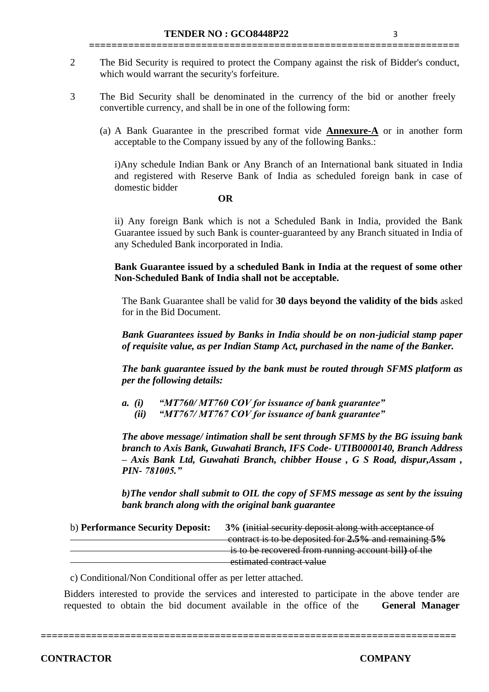2 The Bid Security is required to protect the Company against the risk of Bidder's conduct, which would warrant the security's forfeiture.

**==================================================================**

- 3 The Bid Security shall be denominated in the currency of the bid or another freely convertible currency, and shall be in one of the following form:
	- (a) A Bank Guarantee in the prescribed format vide **Annexure-A** or in another form acceptable to the Company issued by any of the following Banks.:

i)Any schedule Indian Bank or Any Branch of an International bank situated in India and registered with Reserve Bank of India as scheduled foreign bank in case of domestic bidder

#### **OR**

ii) Any foreign Bank which is not a Scheduled Bank in India, provided the Bank Guarantee issued by such Bank is counter-guaranteed by any Branch situated in India of any Scheduled Bank incorporated in India.

**Bank Guarantee issued by a scheduled Bank in India at the request of some other Non-Scheduled Bank of India shall not be acceptable.**

The Bank Guarantee shall be valid for **30 days beyond the validity of the bids** asked for in the Bid Document.

*Bank Guarantees issued by Banks in India should be on non-judicial stamp paper of requisite value, as per Indian Stamp Act, purchased in the name of the Banker.*

*The bank guarantee issued by the bank must be routed through SFMS platform as per the following details:*

*a. (i) "MT760/ MT760 COV for issuance of bank guarantee"*

 *(ii) "MT767/ MT767 COV for issuance of bank guarantee"*

*The above message/ intimation shall be sent through SFMS by the BG issuing bank branch to Axis Bank, Guwahati Branch, IFS Code- UTIB0000140, Branch Address – Axis Bank Ltd, Guwahati Branch, chibber House , G S Road, dispur,Assam , PIN- 781005."*

*b)The vendor shall submit to OIL the copy of SFMS message as sent by the issuing bank branch along with the original bank guarantee*

| b) Performance Security Deposit: | 3% (initial security deposit along with acceptance of |
|----------------------------------|-------------------------------------------------------|
|                                  | contract is to be deposited for 2.5% and remaining 5% |
|                                  | is to be recovered from running account bill) of the  |
|                                  | estimated contract value                              |

c) Conditional/Non Conditional offer as per letter attached.

Bidders interested to provide the services and interested to participate in the above tender are requested to obtain the bid document available in the office of the **General Manager**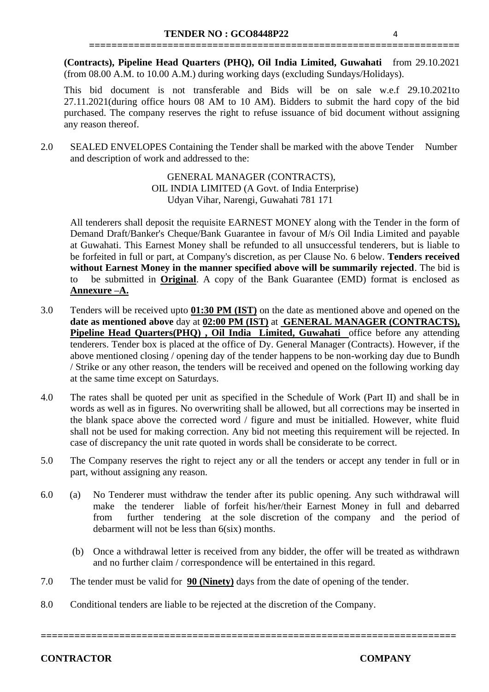**(Contracts), Pipeline Head Quarters (PHQ), Oil India Limited, Guwahati** from 29.10.2021 (from 08.00 A.M. to 10.00 A.M.) during working days (excluding Sundays/Holidays).

**==================================================================**

This bid document is not transferable and Bids will be on sale w.e.f 29.10.2021to 27.11.2021(during office hours 08 AM to 10 AM). Bidders to submit the hard copy of the bid purchased. The company reserves the right to refuse issuance of bid document without assigning any reason thereof.

2.0 SEALED ENVELOPES Containing the Tender shall be marked with the above Tender Number and description of work and addressed to the:

> GENERAL MANAGER (CONTRACTS), OIL INDIA LIMITED (A Govt. of India Enterprise) Udyan Vihar, Narengi, Guwahati 781 171

All tenderers shall deposit the requisite EARNEST MONEY along with the Tender in the form of Demand Draft/Banker's Cheque/Bank Guarantee in favour of M/s Oil India Limited and payable at Guwahati. This Earnest Money shall be refunded to all unsuccessful tenderers, but is liable to be forfeited in full or part, at Company's discretion, as per Clause No. 6 below. **Tenders received without Earnest Money in the manner specified above will be summarily rejected**. The bid is to be submitted in **Original**. A copy of the Bank Guarantee (EMD) format is enclosed as **Annexure –A.**

- 3.0 Tenders will be received upto **01:30 PM (IST)** on the date as mentioned above and opened on the **date as mentioned above** day at **02:00 PM (IST)** at **GENERAL MANAGER (CONTRACTS), Pipeline Head Quarters(PHQ) , Oil India Limited, Guwahati** office before any attending tenderers. Tender box is placed at the office of Dy. General Manager (Contracts). However, if the above mentioned closing / opening day of the tender happens to be non-working day due to Bundh / Strike or any other reason, the tenders will be received and opened on the following working day at the same time except on Saturdays.
- 4.0 The rates shall be quoted per unit as specified in the Schedule of Work (Part II) and shall be in words as well as in figures. No overwriting shall be allowed, but all corrections may be inserted in the blank space above the corrected word / figure and must be initialled. However, white fluid shall not be used for making correction. Any bid not meeting this requirement will be rejected. In case of discrepancy the unit rate quoted in words shall be considerate to be correct.
- 5.0 The Company reserves the right to reject any or all the tenders or accept any tender in full or in part, without assigning any reason.
- 6.0 (a) No Tenderer must withdraw the tender after its public opening. Any such withdrawal will make the tenderer liable of forfeit his/her/their Earnest Money in full and debarred from further tendering at the sole discretion of the company and the period of debarment will not be less than 6(six) months.

**==========================================================================**

- (b) Once a withdrawal letter is received from any bidder, the offer will be treated as withdrawn and no further claim / correspondence will be entertained in this regard.
- 7.0 The tender must be valid for **90 (Ninety)** days from the date of opening of the tender.
- 8.0 Conditional tenders are liable to be rejected at the discretion of the Company.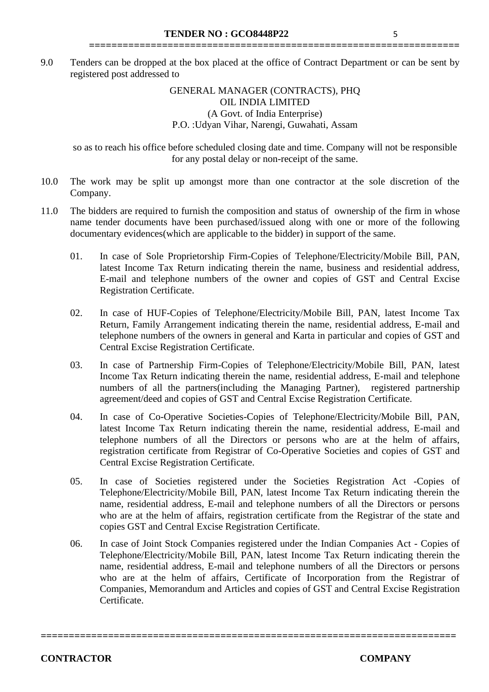#### GENERAL MANAGER (CONTRACTS), PHQ OIL INDIA LIMITED (A Govt. of India Enterprise) P.O. :Udyan Vihar, Narengi, Guwahati, Assam

**==================================================================**

so as to reach his office before scheduled closing date and time. Company will not be responsible for any postal delay or non-receipt of the same.

- 10.0 The work may be split up amongst more than one contractor at the sole discretion of the Company.
- 11.0 The bidders are required to furnish the composition and status of ownership of the firm in whose name tender documents have been purchased/issued along with one or more of the following documentary evidences(which are applicable to the bidder) in support of the same.
	- 01. In case of Sole Proprietorship Firm-Copies of Telephone/Electricity/Mobile Bill, PAN, latest Income Tax Return indicating therein the name, business and residential address, E-mail and telephone numbers of the owner and copies of GST and Central Excise Registration Certificate.
	- 02. In case of HUF-Copies of Telephone/Electricity/Mobile Bill, PAN, latest Income Tax Return, Family Arrangement indicating therein the name, residential address, E-mail and telephone numbers of the owners in general and Karta in particular and copies of GST and Central Excise Registration Certificate.
	- 03. In case of Partnership Firm-Copies of Telephone/Electricity/Mobile Bill, PAN, latest Income Tax Return indicating therein the name, residential address, E-mail and telephone numbers of all the partners(including the Managing Partner), registered partnership agreement/deed and copies of GST and Central Excise Registration Certificate.
	- 04. In case of Co-Operative Societies-Copies of Telephone/Electricity/Mobile Bill, PAN, latest Income Tax Return indicating therein the name, residential address, E-mail and telephone numbers of all the Directors or persons who are at the helm of affairs, registration certificate from Registrar of Co-Operative Societies and copies of GST and Central Excise Registration Certificate.
	- 05. In case of Societies registered under the Societies Registration Act -Copies of Telephone/Electricity/Mobile Bill, PAN, latest Income Tax Return indicating therein the name, residential address, E-mail and telephone numbers of all the Directors or persons who are at the helm of affairs, registration certificate from the Registrar of the state and copies GST and Central Excise Registration Certificate.
	- 06. In case of Joint Stock Companies registered under the Indian Companies Act Copies of Telephone/Electricity/Mobile Bill, PAN, latest Income Tax Return indicating therein the name, residential address, E-mail and telephone numbers of all the Directors or persons who are at the helm of affairs, Certificate of Incorporation from the Registrar of Companies, Memorandum and Articles and copies of GST and Central Excise Registration Certificate.

**==========================================================================**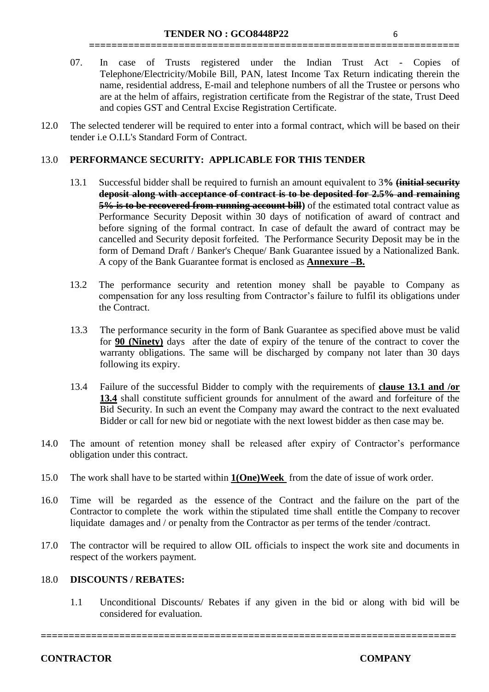07. In case of Trusts registered under the Indian Trust Act - Copies of Telephone/Electricity/Mobile Bill, PAN, latest Income Tax Return indicating therein the name, residential address, E-mail and telephone numbers of all the Trustee or persons who are at the helm of affairs, registration certificate from the Registrar of the state, Trust Deed and copies GST and Central Excise Registration Certificate.

**==================================================================**

12.0 The selected tenderer will be required to enter into a formal contract, which will be based on their tender i.e O.I.L's Standard Form of Contract.

#### 13.0 **PERFORMANCE SECURITY: APPLICABLE FOR THIS TENDER**

- 13.1 Successful bidder shall be required to furnish an amount equivalent to 3**% (initial security deposit along with acceptance of contract is to be deposited for 2.5% and remaining 5% is to be recovered from running account bill)** of the estimated total contract value as Performance Security Deposit within 30 days of notification of award of contract and before signing of the formal contract. In case of default the award of contract may be cancelled and Security deposit forfeited. The Performance Security Deposit may be in the form of Demand Draft / Banker's Cheque/ Bank Guarantee issued by a Nationalized Bank. A copy of the Bank Guarantee format is enclosed as **Annexure –B.**
- 13.2 The performance security and retention money shall be payable to Company as compensation for any loss resulting from Contractor's failure to fulfil its obligations under the Contract.
- 13.3 The performance security in the form of Bank Guarantee as specified above must be valid for **90 (Ninety)** days after the date of expiry of the tenure of the contract to cover the warranty obligations. The same will be discharged by company not later than 30 days following its expiry.
- 13.4 Failure of the successful Bidder to comply with the requirements of **clause 13.1 and /or 13.4** shall constitute sufficient grounds for annulment of the award and forfeiture of the Bid Security. In such an event the Company may award the contract to the next evaluated Bidder or call for new bid or negotiate with the next lowest bidder as then case may be.
- 14.0 The amount of retention money shall be released after expiry of Contractor's performance obligation under this contract.
- 15.0 The work shall have to be started within **1(One)Week** from the date of issue of work order.
- 16.0 Time will be regarded as the essence of the Contract and the failure on the part of the Contractor to complete the work within the stipulated time shall entitle the Company to recover liquidate damages and / or penalty from the Contractor as per terms of the tender /contract.
- 17.0 The contractor will be required to allow OIL officials to inspect the work site and documents in respect of the workers payment.

# 18.0 **DISCOUNTS / REBATES:**

1.1 Unconditional Discounts/ Rebates if any given in the bid or along with bid will be considered for evaluation.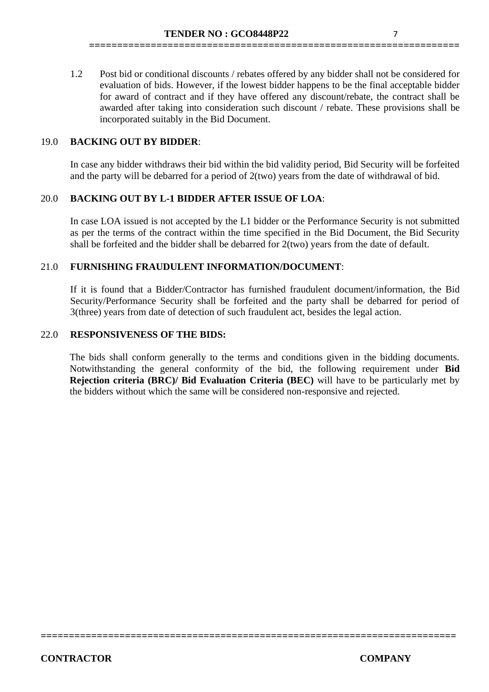1.2 Post bid or conditional discounts / rebates offered by any bidder shall not be considered for evaluation of bids. However, if the lowest bidder happens to be the final acceptable bidder for award of contract and if they have offered any discount/rebate, the contract shall be awarded after taking into consideration such discount / rebate. These provisions shall be incorporated suitably in the Bid Document.

**==================================================================**

# 19.0 **BACKING OUT BY BIDDER**:

In case any bidder withdraws their bid within the bid validity period, Bid Security will be forfeited and the party will be debarred for a period of 2(two) years from the date of withdrawal of bid.

#### 20.0 **BACKING OUT BY L-1 BIDDER AFTER ISSUE OF LOA**:

In case LOA issued is not accepted by the L1 bidder or the Performance Security is not submitted as per the terms of the contract within the time specified in the Bid Document, the Bid Security shall be forfeited and the bidder shall be debarred for 2(two) years from the date of default.

# 21.0 **FURNISHING FRAUDULENT INFORMATION/DOCUMENT**:

If it is found that a Bidder/Contractor has furnished fraudulent document/information, the Bid Security/Performance Security shall be forfeited and the party shall be debarred for period of 3(three) years from date of detection of such fraudulent act, besides the legal action.

#### 22.0 **RESPONSIVENESS OF THE BIDS:**

The bids shall conform generally to the terms and conditions given in the bidding documents. Notwithstanding the general conformity of the bid, the following requirement under **Bid Rejection criteria (BRC)/ Bid Evaluation Criteria (BEC)** will have to be particularly met by the bidders without which the same will be considered non-responsive and rejected.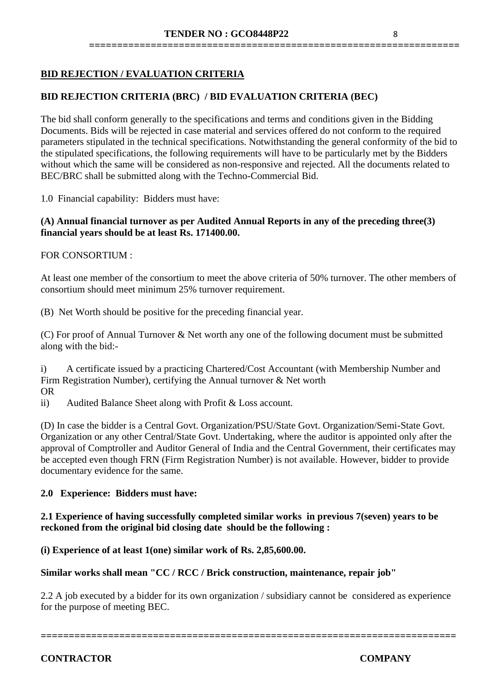# **BID REJECTION / EVALUATION CRITERIA**

# **BID REJECTION CRITERIA (BRC) / BID EVALUATION CRITERIA (BEC)**

The bid shall conform generally to the specifications and terms and conditions given in the Bidding Documents. Bids will be rejected in case material and services offered do not conform to the required parameters stipulated in the technical specifications. Notwithstanding the general conformity of the bid to the stipulated specifications, the following requirements will have to be particularly met by the Bidders without which the same will be considered as non-responsive and rejected. All the documents related to BEC/BRC shall be submitted along with the Techno-Commercial Bid.

1.0 Financial capability: Bidders must have:

#### **(A) Annual financial turnover as per Audited Annual Reports in any of the preceding three(3) financial years should be at least Rs. 171400.00.**

#### FOR CONSORTIUM :

At least one member of the consortium to meet the above criteria of 50% turnover. The other members of consortium should meet minimum 25% turnover requirement.

(B) Net Worth should be positive for the preceding financial year.

(C) For proof of Annual Turnover & Net worth any one of the following document must be submitted along with the bid:-

i) A certificate issued by a practicing Chartered/Cost Accountant (with Membership Number and Firm Registration Number), certifying the Annual turnover & Net worth OR

ii) Audited Balance Sheet along with Profit & Loss account.

(D) In case the bidder is a Central Govt. Organization/PSU/State Govt. Organization/Semi-State Govt. Organization or any other Central/State Govt. Undertaking, where the auditor is appointed only after the approval of Comptroller and Auditor General of India and the Central Government, their certificates may be accepted even though FRN (Firm Registration Number) is not available. However, bidder to provide documentary evidence for the same.

#### **2.0 Experience: Bidders must have:**

# **2.1 Experience of having successfully completed similar works in previous 7(seven) years to be reckoned from the original bid closing date should be the following :**

#### **(i) Experience of at least 1(one) similar work of Rs. 2,85,600.00.**

#### **Similar works shall mean "CC / RCC / Brick construction, maintenance, repair job"**

2.2 A job executed by a bidder for its own organization / subsidiary cannot be considered as experience for the purpose of meeting BEC.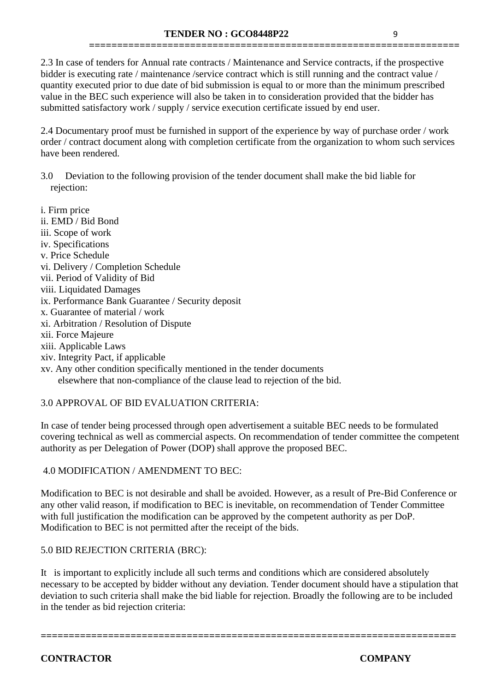2.3 In case of tenders for Annual rate contracts / Maintenance and Service contracts, if the prospective bidder is executing rate / maintenance /service contract which is still running and the contract value / quantity executed prior to due date of bid submission is equal to or more than the minimum prescribed value in the BEC such experience will also be taken in to consideration provided that the bidder has submitted satisfactory work / supply / service execution certificate issued by end user.

**==================================================================**

2.4 Documentary proof must be furnished in support of the experience by way of purchase order / work order / contract document along with completion certificate from the organization to whom such services have been rendered.

- 3.0 Deviation to the following provision of the tender document shall make the bid liable for rejection:
- i. Firm price ii. EMD / Bid Bond iii. Scope of work iv. Specifications v. Price Schedule vi. Delivery / Completion Schedule vii. Period of Validity of Bid viii. Liquidated Damages ix. Performance Bank Guarantee / Security deposit x. Guarantee of material / work xi. Arbitration / Resolution of Dispute xii. Force Majeure xiii. Applicable Laws xiv. Integrity Pact, if applicable
- xv. Any other condition specifically mentioned in the tender documents elsewhere that non-compliance of the clause lead to rejection of the bid.

# 3.0 APPROVAL OF BID EVALUATION CRITERIA:

In case of tender being processed through open advertisement a suitable BEC needs to be formulated covering technical as well as commercial aspects. On recommendation of tender committee the competent authority as per Delegation of Power (DOP) shall approve the proposed BEC.

# 4.0 MODIFICATION / AMENDMENT TO BEC:

Modification to BEC is not desirable and shall be avoided. However, as a result of Pre-Bid Conference or any other valid reason, if modification to BEC is inevitable, on recommendation of Tender Committee with full justification the modification can be approved by the competent authority as per DoP. Modification to BEC is not permitted after the receipt of the bids.

#### 5.0 BID REJECTION CRITERIA (BRC):

It is important to explicitly include all such terms and conditions which are considered absolutely necessary to be accepted by bidder without any deviation. Tender document should have a stipulation that deviation to such criteria shall make the bid liable for rejection. Broadly the following are to be included in the tender as bid rejection criteria:

**==========================================================================**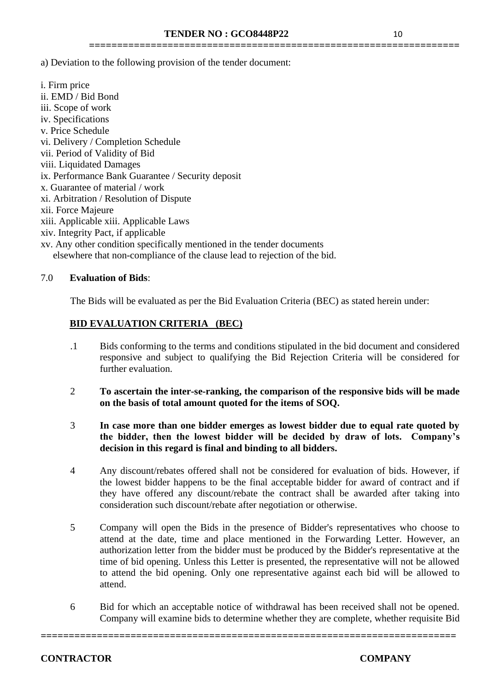**==================================================================**

a) Deviation to the following provision of the tender document:

i. Firm price ii. EMD / Bid Bond iii. Scope of work iv. Specifications v. Price Schedule vi. Delivery / Completion Schedule vii. Period of Validity of Bid viii. Liquidated Damages ix. Performance Bank Guarantee / Security deposit x. Guarantee of material / work xi. Arbitration / Resolution of Dispute xii. Force Majeure xiii. Applicable xiii. Applicable Laws xiv. Integrity Pact, if applicable xv. Any other condition specifically mentioned in the tender documents

elsewhere that non-compliance of the clause lead to rejection of the bid.

# 7.0 **Evaluation of Bids**:

The Bids will be evaluated as per the Bid Evaluation Criteria (BEC) as stated herein under:

# **BID EVALUATION CRITERIA (BEC)**

- .1 Bids conforming to the terms and conditions stipulated in the bid document and considered responsive and subject to qualifying the Bid Rejection Criteria will be considered for further evaluation.
- 2 **To ascertain the inter-se-ranking, the comparison of the responsive bids will be made on the basis of total amount quoted for the items of SOQ.**
- 3 **In case more than one bidder emerges as lowest bidder due to equal rate quoted by the bidder, then the lowest bidder will be decided by draw of lots. Company's decision in this regard is final and binding to all bidders.**
- 4 Any discount/rebates offered shall not be considered for evaluation of bids. However, if the lowest bidder happens to be the final acceptable bidder for award of contract and if they have offered any discount/rebate the contract shall be awarded after taking into consideration such discount/rebate after negotiation or otherwise.
- 5 Company will open the Bids in the presence of Bidder's representatives who choose to attend at the date, time and place mentioned in the Forwarding Letter. However, an authorization letter from the bidder must be produced by the Bidder's representative at the time of bid opening. Unless this Letter is presented, the representative will not be allowed to attend the bid opening. Only one representative against each bid will be allowed to attend.
- 6 Bid for which an acceptable notice of withdrawal has been received shall not be opened. Company will examine bids to determine whether they are complete, whether requisite Bid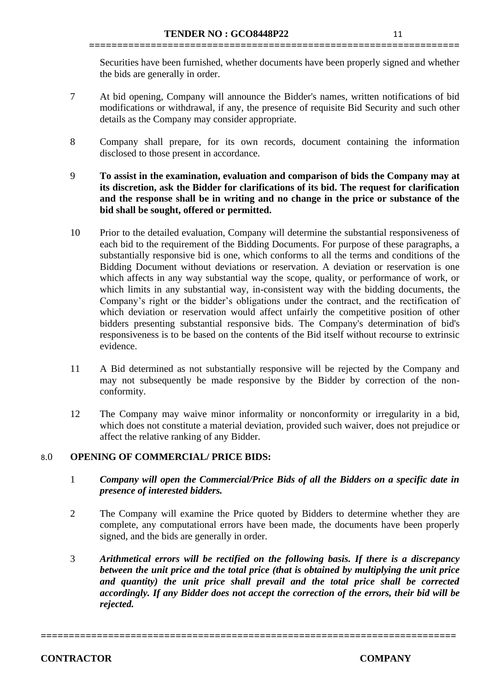Securities have been furnished, whether documents have been properly signed and whether the bids are generally in order.

**==================================================================**

- 7 At bid opening, Company will announce the Bidder's names, written notifications of bid modifications or withdrawal, if any, the presence of requisite Bid Security and such other details as the Company may consider appropriate.
- 8 Company shall prepare, for its own records, document containing the information disclosed to those present in accordance.
- 9 **To assist in the examination, evaluation and comparison of bids the Company may at its discretion, ask the Bidder for clarifications of its bid. The request for clarification and the response shall be in writing and no change in the price or substance of the bid shall be sought, offered or permitted.**
- 10 Prior to the detailed evaluation, Company will determine the substantial responsiveness of each bid to the requirement of the Bidding Documents. For purpose of these paragraphs, a substantially responsive bid is one, which conforms to all the terms and conditions of the Bidding Document without deviations or reservation. A deviation or reservation is one which affects in any way substantial way the scope, quality, or performance of work, or which limits in any substantial way, in-consistent way with the bidding documents, the Company's right or the bidder's obligations under the contract, and the rectification of which deviation or reservation would affect unfairly the competitive position of other bidders presenting substantial responsive bids. The Company's determination of bid's responsiveness is to be based on the contents of the Bid itself without recourse to extrinsic evidence.
- 11 A Bid determined as not substantially responsive will be rejected by the Company and may not subsequently be made responsive by the Bidder by correction of the nonconformity.
- 12 The Company may waive minor informality or nonconformity or irregularity in a bid, which does not constitute a material deviation, provided such waiver, does not prejudice or affect the relative ranking of any Bidder.

# 8.0 **OPENING OF COMMERCIAL/ PRICE BIDS:**

- 1 *Company will open the Commercial/Price Bids of all the Bidders on a specific date in presence of interested bidders.*
- 2 The Company will examine the Price quoted by Bidders to determine whether they are complete, any computational errors have been made, the documents have been properly signed, and the bids are generally in order.
- 3 *Arithmetical errors will be rectified on the following basis. If there is a discrepancy between the unit price and the total price (that is obtained by multiplying the unit price and quantity) the unit price shall prevail and the total price shall be corrected accordingly. If any Bidder does not accept the correction of the errors, their bid will be rejected.*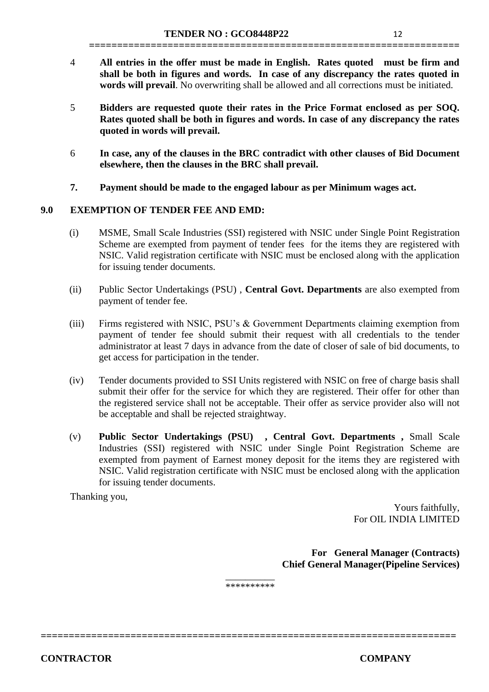4 **All entries in the offer must be made in English. Rates quoted must be firm and shall be both in figures and words. In case of any discrepancy the rates quoted in words will prevail**. No overwriting shall be allowed and all corrections must be initiated.

**==================================================================**

- 5 **Bidders are requested quote their rates in the Price Format enclosed as per SOQ. Rates quoted shall be both in figures and words. In case of any discrepancy the rates quoted in words will prevail.**
- 6 **In case, any of the clauses in the BRC contradict with other clauses of Bid Document elsewhere, then the clauses in the BRC shall prevail.**
- **7. Payment should be made to the engaged labour as per Minimum wages act.**

# **9.0 EXEMPTION OF TENDER FEE AND EMD:**

- (i) MSME, Small Scale Industries (SSI) registered with NSIC under Single Point Registration Scheme are exempted from payment of tender fees for the items they are registered with NSIC. Valid registration certificate with NSIC must be enclosed along with the application for issuing tender documents.
- (ii) Public Sector Undertakings (PSU) , **Central Govt. Departments** are also exempted from payment of tender fee.
- (iii) Firms registered with NSIC, PSU's & Government Departments claiming exemption from payment of tender fee should submit their request with all credentials to the tender administrator at least 7 days in advance from the date of closer of sale of bid documents, to get access for participation in the tender.
- (iv) Tender documents provided to SSI Units registered with NSIC on free of charge basis shall submit their offer for the service for which they are registered. Their offer for other than the registered service shall not be acceptable. Their offer as service provider also will not be acceptable and shall be rejected straightway.
- (v) **Public Sector Undertakings (PSU) , Central Govt. Departments ,** Small Scale Industries (SSI) registered with NSIC under Single Point Registration Scheme are exempted from payment of Earnest money deposit for the items they are registered with NSIC. Valid registration certificate with NSIC must be enclosed along with the application for issuing tender documents.

Thanking you,

Yours faithfully, For OIL INDIA LIMITED

**For General Manager (Contracts) Chief General Manager(Pipeline Services)**

\_\_\_\_\_\_\_\_\_\_ \*\*\*\*\*\*\*\*\*\*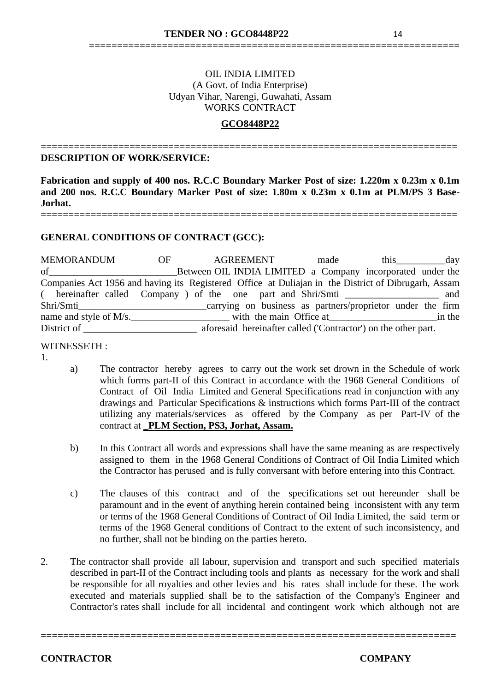# OIL INDIA LIMITED (A Govt. of India Enterprise) Udyan Vihar, Narengi, Guwahati, Assam WORKS CONTRACT

**==================================================================**

# **GCO8448P22**

===========================================================================

#### **DESCRIPTION OF WORK/SERVICE:**

**Fabrication and supply of 400 nos. R.C.C Boundary Marker Post of size: 1.220m x 0.23m x 0.1m and 200 nos. R.C.C Boundary Marker Post of size: 1.80m x 0.23m x 0.1m at PLM/PS 3 Base-Jorhat.**

===========================================================================

#### **GENERAL CONDITIONS OF CONTRACT (GCC):**

MEMORANDUM OF AGREEMENT made this day<br>of Between OIL INDIA LIMITED a Company incorporated under the Between OIL INDIA LIMITED a Company incorporated under the Companies Act 1956 and having its Registered Office at Duliajan in the District of Dibrugarh, Assam ( hereinafter called Company ) of the one part and Shri/Smti \_\_\_\_\_\_\_\_\_\_\_\_\_\_\_\_\_\_\_ and Shri/Smti\_\_\_\_\_\_\_\_\_\_\_\_\_\_\_\_\_\_\_\_\_\_\_\_\_\_\_\_\_carrying on business as partners/proprietor under the firm name and style of M/s.\_\_\_\_\_\_\_\_\_\_\_\_\_\_\_\_\_\_\_\_ with the main Office at\_\_\_\_\_\_\_\_\_\_\_\_\_\_\_\_\_\_\_\_\_\_in the District of **Exercise 2.1** aforesaid hereinafter called ('Contractor') on the other part.

#### WITNESSETH :

- 1.
- a) The contractor hereby agrees to carry out the work set drown in the Schedule of work which forms part-II of this Contract in accordance with the 1968 General Conditions of Contract of Oil India Limited and General Specifications read in conjunction with any drawings and Particular Specifications & instructions which forms Part-III of the contract utilizing any materials/services as offered by the Company as per Part-IV of the contract at **\_PLM Section, PS3, Jorhat, Assam.**
- b) In this Contract all words and expressions shall have the same meaning as are respectively assigned to them in the 1968 General Conditions of Contract of Oil India Limited which the Contractor has perused and is fully conversant with before entering into this Contract.
- c) The clauses of this contract and of the specifications set out hereunder shall be paramount and in the event of anything herein contained being inconsistent with any term or terms of the 1968 General Conditions of Contract of Oil India Limited, the said term or terms of the 1968 General conditions of Contract to the extent of such inconsistency, and no further, shall not be binding on the parties hereto.
- 2. The contractor shall provide all labour, supervision and transport and such specified materials described in part-II of the Contract including tools and plants as necessary for the work and shall be responsible for all royalties and other levies and his rates shall include for these. The work executed and materials supplied shall be to the satisfaction of the Company's Engineer and Contractor's rates shall include for all incidental and contingent work which although not are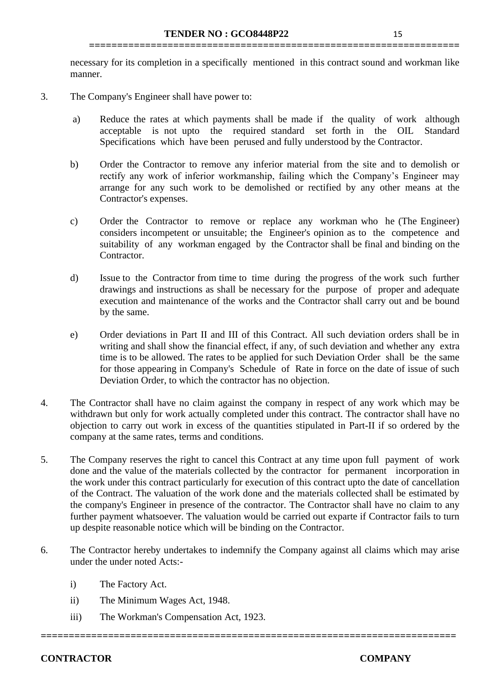necessary for its completion in a specifically mentioned in this contract sound and workman like manner.

**==================================================================**

- 3. The Company's Engineer shall have power to:
	- a) Reduce the rates at which payments shall be made if the quality of work although acceptable is not upto the required standard set forth in the OIL Standard Specifications which have been perused and fully understood by the Contractor.
	- b) Order the Contractor to remove any inferior material from the site and to demolish or rectify any work of inferior workmanship, failing which the Company's Engineer may arrange for any such work to be demolished or rectified by any other means at the Contractor's expenses.
	- c) Order the Contractor to remove or replace any workman who he (The Engineer) considers incompetent or unsuitable; the Engineer's opinion as to the competence and suitability of any workman engaged by the Contractor shall be final and binding on the Contractor.
	- d) Issue to the Contractor from time to time during the progress of the work such further drawings and instructions as shall be necessary for the purpose of proper and adequate execution and maintenance of the works and the Contractor shall carry out and be bound by the same.
	- e) Order deviations in Part II and III of this Contract. All such deviation orders shall be in writing and shall show the financial effect, if any, of such deviation and whether any extra time is to be allowed. The rates to be applied for such Deviation Order shall be the same for those appearing in Company's Schedule of Rate in force on the date of issue of such Deviation Order, to which the contractor has no objection.
- 4. The Contractor shall have no claim against the company in respect of any work which may be withdrawn but only for work actually completed under this contract. The contractor shall have no objection to carry out work in excess of the quantities stipulated in Part-II if so ordered by the company at the same rates, terms and conditions.
- 5. The Company reserves the right to cancel this Contract at any time upon full payment of work done and the value of the materials collected by the contractor for permanent incorporation in the work under this contract particularly for execution of this contract upto the date of cancellation of the Contract. The valuation of the work done and the materials collected shall be estimated by the company's Engineer in presence of the contractor. The Contractor shall have no claim to any further payment whatsoever. The valuation would be carried out exparte if Contractor fails to turn up despite reasonable notice which will be binding on the Contractor.
- 6. The Contractor hereby undertakes to indemnify the Company against all claims which may arise under the under noted Acts:-

- i) The Factory Act.
- ii) The Minimum Wages Act, 1948.
- iii) The Workman's Compensation Act, 1923.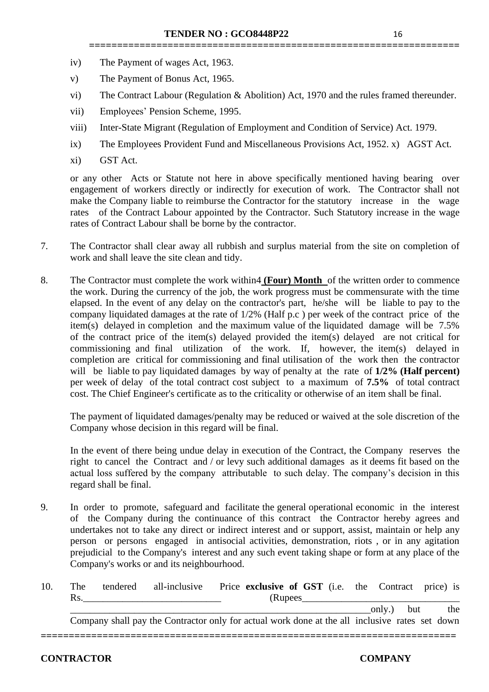- iv) The Payment of wages Act, 1963.
- v) The Payment of Bonus Act, 1965.
- vi) The Contract Labour (Regulation & Abolition) Act, 1970 and the rules framed thereunder.

**==================================================================**

- vii) Employees' Pension Scheme, 1995.
- viii) Inter-State Migrant (Regulation of Employment and Condition of Service) Act. 1979.
- ix) The Employees Provident Fund and Miscellaneous Provisions Act, 1952. x) AGST Act.
- xi) GST Act.

or any other Acts or Statute not here in above specifically mentioned having bearing over engagement of workers directly or indirectly for execution of work. The Contractor shall not make the Company liable to reimburse the Contractor for the statutory increase in the wage rates of the Contract Labour appointed by the Contractor. Such Statutory increase in the wage rates of Contract Labour shall be borne by the contractor.

- 7. The Contractor shall clear away all rubbish and surplus material from the site on completion of work and shall leave the site clean and tidy.
- 8. The Contractor must complete the work within4 **(Four) Month** of the written order to commence the work. During the currency of the job, the work progress must be commensurate with the time elapsed. In the event of any delay on the contractor's part, he/she will be liable to pay to the company liquidated damages at the rate of 1/2% (Half p.c ) per week of the contract price of the item(s) delayed in completion and the maximum value of the liquidated damage will be 7.5% of the contract price of the item(s) delayed provided the item(s) delayed are not critical for commissioning and final utilization of the work. If, however, the item(s) delayed in completion are critical for commissioning and final utilisation of the work then the contractor will be liable to pay liquidated damages by way of penalty at the rate of **1/2% (Half percent)** per week of delay of the total contract cost subject to a maximum of **7.5%** of total contract cost. The Chief Engineer's certificate as to the criticality or otherwise of an item shall be final.

The payment of liquidated damages/penalty may be reduced or waived at the sole discretion of the Company whose decision in this regard will be final.

In the event of there being undue delay in execution of the Contract, the Company reserves the right to cancel the Contract and / or levy such additional damages as it deems fit based on the actual loss suffered by the company attributable to such delay. The company's decision in this regard shall be final.

9. In order to promote, safeguard and facilitate the general operational economic in the interest of the Company during the continuance of this contract the Contractor hereby agrees and undertakes not to take any direct or indirect interest and or support, assist, maintain or help any person or persons engaged in antisocial activities, demonstration, riots , or in any agitation prejudicial to the Company's interest and any such event taking shape or form at any place of the Company's works or and its neighbourhood.

| 10. | The | tendered | all-inclusive Price exclusive of GST (i.e. the Contract price) is                              |          |  |            |     |
|-----|-----|----------|------------------------------------------------------------------------------------------------|----------|--|------------|-----|
|     | Rs. |          |                                                                                                | (Rupees) |  |            |     |
|     |     |          |                                                                                                |          |  | only.) but | the |
|     |     |          | Company shall pay the Contractor only for actual work done at the all inclusive rates set down |          |  |            |     |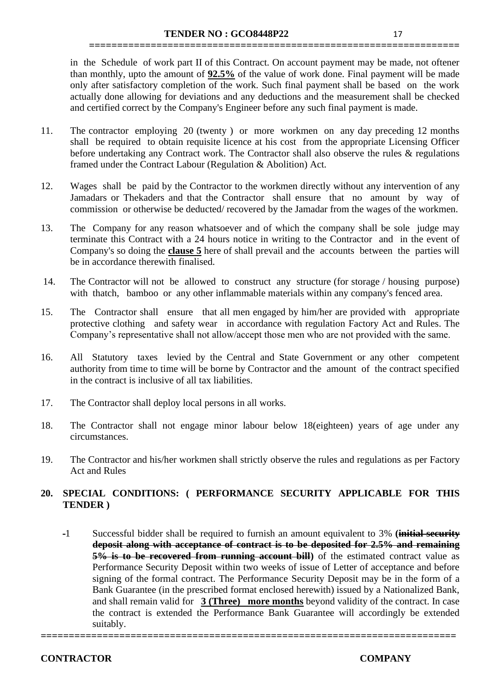in the Schedule of work part II of this Contract. On account payment may be made, not oftener than monthly, upto the amount of **92.5%** of the value of work done. Final payment will be made only after satisfactory completion of the work. Such final payment shall be based on the work actually done allowing for deviations and any deductions and the measurement shall be checked and certified correct by the Company's Engineer before any such final payment is made.

**==================================================================**

- 11. The contractor employing 20 (twenty ) or more workmen on any day preceding 12 months shall be required to obtain requisite licence at his cost from the appropriate Licensing Officer before undertaking any Contract work. The Contractor shall also observe the rules & regulations framed under the Contract Labour (Regulation & Abolition) Act.
- 12. Wages shall be paid by the Contractor to the workmen directly without any intervention of any Jamadars or Thekaders and that the Contractor shall ensure that no amount by way of commission or otherwise be deducted/ recovered by the Jamadar from the wages of the workmen.
- 13. The Company for any reason whatsoever and of which the company shall be sole judge may terminate this Contract with a 24 hours notice in writing to the Contractor and in the event of Company's so doing the **clause 5** here of shall prevail and the accounts between the parties will be in accordance therewith finalised.
- 14. The Contractor will not be allowed to construct any structure (for storage / housing purpose) with thatch, bamboo or any other inflammable materials within any company's fenced area.
- 15. The Contractor shall ensure that all men engaged by him/her are provided with appropriate protective clothing and safety wear in accordance with regulation Factory Act and Rules. The Company's representative shall not allow/accept those men who are not provided with the same.
- 16. All Statutory taxes levied by the Central and State Government or any other competent authority from time to time will be borne by Contractor and the amount of the contract specified in the contract is inclusive of all tax liabilities.
- 17. The Contractor shall deploy local persons in all works.
- 18. The Contractor shall not engage minor labour below 18(eighteen) years of age under any circumstances.
- 19. The Contractor and his/her workmen shall strictly observe the rules and regulations as per Factory Act and Rules

# **20. SPECIAL CONDITIONS: ( PERFORMANCE SECURITY APPLICABLE FOR THIS TENDER )**

1 Successful bidder shall be required to furnish an amount equivalent to 3% **(initial security deposit along with acceptance of contract is to be deposited for 2.5% and remaining 5% is to be recovered from running account bill)** of the estimated contract value as Performance Security Deposit within two weeks of issue of Letter of acceptance and before signing of the formal contract. The Performance Security Deposit may be in the form of a Bank Guarantee (in the prescribed format enclosed herewith) issued by a Nationalized Bank, and shall remain valid for **3 (Three) more months** beyond validity of the contract. In case the contract is extended the Performance Bank Guarantee will accordingly be extended suitably.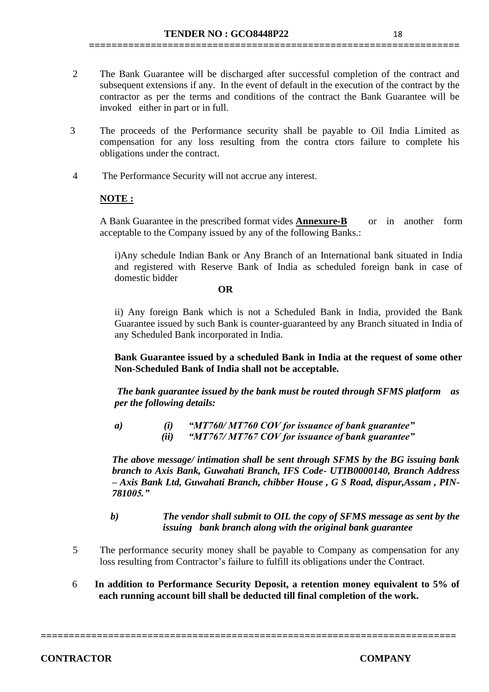**==================================================================**

- 3 The proceeds of the Performance security shall be payable to Oil India Limited as compensation for any loss resulting from the contra ctors failure to complete his obligations under the contract.
- 4 The Performance Security will not accrue any interest.

# **NOTE :**

A Bank Guarantee in the prescribed format vides **Annexure-B** or in another form acceptable to the Company issued by any of the following Banks.:

i)Any schedule Indian Bank or Any Branch of an International bank situated in India and registered with Reserve Bank of India as scheduled foreign bank in case of domestic bidder

#### **OR**

ii) Any foreign Bank which is not a Scheduled Bank in India, provided the Bank Guarantee issued by such Bank is counter-guaranteed by any Branch situated in India of any Scheduled Bank incorporated in India.

**Bank Guarantee issued by a scheduled Bank in India at the request of some other Non-Scheduled Bank of India shall not be acceptable.**

*The bank guarantee issued by the bank must be routed through SFMS platform as per the following details:*

*a) (i) "MT760/ MT760 COV for issuance of bank guarantee" (ii) "MT767/ MT767 COV for issuance of bank guarantee"*

*The above message/ intimation shall be sent through SFMS by the BG issuing bank branch to Axis Bank, Guwahati Branch, IFS Code- UTIB0000140, Branch Address – Axis Bank Ltd, Guwahati Branch, chibber House , G S Road, dispur,Assam , PIN-781005."*

# *b) The vendor shall submit to OIL the copy of SFMS message as sent by the issuing bank branch along with the original bank guarantee*

- 5 The performance security money shall be payable to Company as compensation for any loss resulting from Contractor's failure to fulfill its obligations under the Contract.
- 6 **In addition to Performance Security Deposit, a retention money equivalent to 5% of each running account bill shall be deducted till final completion of the work.**

**==========================================================================**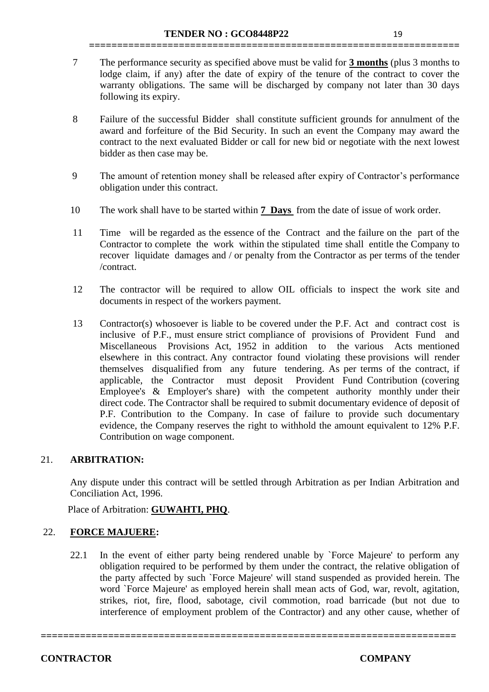7 The performance security as specified above must be valid for **3 months** (plus 3 months to lodge claim, if any) after the date of expiry of the tenure of the contract to cover the warranty obligations. The same will be discharged by company not later than 30 days following its expiry.

**==================================================================**

- 8 Failure of the successful Bidder shall constitute sufficient grounds for annulment of the award and forfeiture of the Bid Security. In such an event the Company may award the contract to the next evaluated Bidder or call for new bid or negotiate with the next lowest bidder as then case may be.
- 9 The amount of retention money shall be released after expiry of Contractor's performance obligation under this contract.
- 10 The work shall have to be started within **7 Days** from the date of issue of work order.
- 11 Time will be regarded as the essence of the Contract and the failure on the part of the Contractor to complete the work within the stipulated time shall entitle the Company to recover liquidate damages and / or penalty from the Contractor as per terms of the tender /contract.
- 12 The contractor will be required to allow OIL officials to inspect the work site and documents in respect of the workers payment.
- 13 Contractor(s) whosoever is liable to be covered under the P.F. Act and contract cost is inclusive of P.F., must ensure strict compliance of provisions of Provident Fund and Miscellaneous Provisions Act, 1952 in addition to the various Acts mentioned elsewhere in this contract. Any contractor found violating these provisions will render themselves disqualified from any future tendering. As per terms of the contract, if applicable, the Contractor must deposit Provident Fund Contribution (covering Employee's & Employer's share) with the competent authority monthly under their direct code. The Contractor shall be required to submit documentary evidence of deposit of P.F. Contribution to the Company. In case of failure to provide such documentary evidence, the Company reserves the right to withhold the amount equivalent to 12% P.F. Contribution on wage component.

# 21. **ARBITRATION:**

Any dispute under this contract will be settled through Arbitration as per Indian Arbitration and Conciliation Act, 1996.

Place of Arbitration: **GUWAHTI, PHQ**.

#### 22. **FORCE MAJUERE:**

22.1 In the event of either party being rendered unable by `Force Majeure' to perform any obligation required to be performed by them under the contract, the relative obligation of the party affected by such `Force Majeure' will stand suspended as provided herein. The word `Force Majeure' as employed herein shall mean acts of God, war, revolt, agitation, strikes, riot, fire, flood, sabotage, civil commotion, road barricade (but not due to interference of employment problem of the Contractor) and any other cause, whether of

**==========================================================================**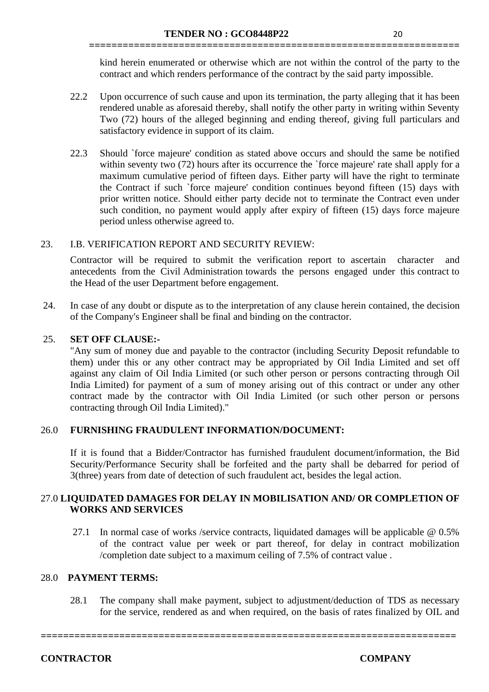kind herein enumerated or otherwise which are not within the control of the party to the contract and which renders performance of the contract by the said party impossible.

**==================================================================**

- 22.2 Upon occurrence of such cause and upon its termination, the party alleging that it has been rendered unable as aforesaid thereby, shall notify the other party in writing within Seventy Two (72) hours of the alleged beginning and ending thereof, giving full particulars and satisfactory evidence in support of its claim.
- 22.3 Should `force majeure' condition as stated above occurs and should the same be notified within seventy two (72) hours after its occurrence the 'force majeure' rate shall apply for a maximum cumulative period of fifteen days. Either party will have the right to terminate the Contract if such `force majeure' condition continues beyond fifteen (15) days with prior written notice. Should either party decide not to terminate the Contract even under such condition, no payment would apply after expiry of fifteen (15) days force majeure period unless otherwise agreed to.

# 23. I.B. VERIFICATION REPORT AND SECURITY REVIEW:

Contractor will be required to submit the verification report to ascertain character and antecedents from the Civil Administration towards the persons engaged under this contract to the Head of the user Department before engagement.

24. In case of any doubt or dispute as to the interpretation of any clause herein contained, the decision of the Company's Engineer shall be final and binding on the contractor.

# 25. **SET OFF CLAUSE:-**

"Any sum of money due and payable to the contractor (including Security Deposit refundable to them) under this or any other contract may be appropriated by Oil India Limited and set off against any claim of Oil India Limited (or such other person or persons contracting through Oil India Limited) for payment of a sum of money arising out of this contract or under any other contract made by the contractor with Oil India Limited (or such other person or persons contracting through Oil India Limited)."

# 26.0 **FURNISHING FRAUDULENT INFORMATION/DOCUMENT:**

If it is found that a Bidder/Contractor has furnished fraudulent document/information, the Bid Security/Performance Security shall be forfeited and the party shall be debarred for period of 3(three) years from date of detection of such fraudulent act, besides the legal action.

# 27.0 **LIQUIDATED DAMAGES FOR DELAY IN MOBILISATION AND/ OR COMPLETION OF WORKS AND SERVICES**

27.1 In normal case of works /service contracts, liquidated damages will be applicable @ 0.5% of the contract value per week or part thereof, for delay in contract mobilization /completion date subject to a maximum ceiling of 7.5% of contract value .

# 28.0 **PAYMENT TERMS:**

28.1 The company shall make payment, subject to adjustment/deduction of TDS as necessary for the service, rendered as and when required, on the basis of rates finalized by OIL and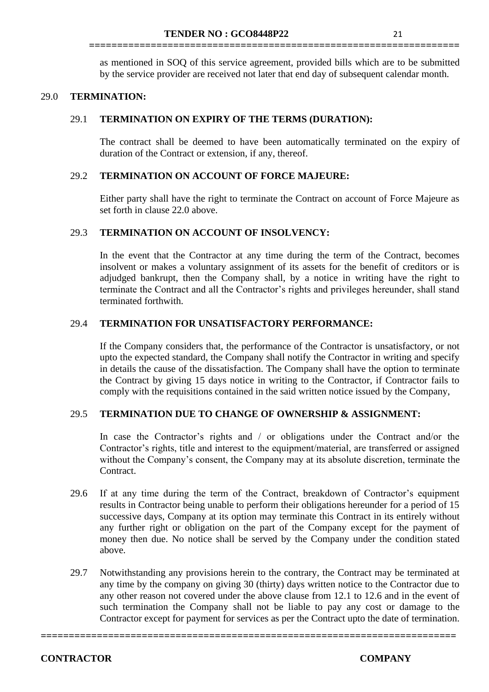as mentioned in SOQ of this service agreement, provided bills which are to be submitted by the service provider are received not later that end day of subsequent calendar month.

**==================================================================**

# 29.0 **TERMINATION:**

#### 29.1 **TERMINATION ON EXPIRY OF THE TERMS (DURATION):**

The contract shall be deemed to have been automatically terminated on the expiry of duration of the Contract or extension, if any, thereof.

#### 29.2 **TERMINATION ON ACCOUNT OF FORCE MAJEURE:**

Either party shall have the right to terminate the Contract on account of Force Majeure as set forth in clause 22.0 above.

#### 29.3 **TERMINATION ON ACCOUNT OF INSOLVENCY:**

In the event that the Contractor at any time during the term of the Contract, becomes insolvent or makes a voluntary assignment of its assets for the benefit of creditors or is adjudged bankrupt, then the Company shall, by a notice in writing have the right to terminate the Contract and all the Contractor's rights and privileges hereunder, shall stand terminated forthwith.

#### 29.4 **TERMINATION FOR UNSATISFACTORY PERFORMANCE:**

If the Company considers that, the performance of the Contractor is unsatisfactory, or not upto the expected standard, the Company shall notify the Contractor in writing and specify in details the cause of the dissatisfaction. The Company shall have the option to terminate the Contract by giving 15 days notice in writing to the Contractor, if Contractor fails to comply with the requisitions contained in the said written notice issued by the Company,

#### 29.5 **TERMINATION DUE TO CHANGE OF OWNERSHIP & ASSIGNMENT:**

In case the Contractor's rights and / or obligations under the Contract and/or the Contractor's rights, title and interest to the equipment/material, are transferred or assigned without the Company's consent, the Company may at its absolute discretion, terminate the Contract.

- 29.6 If at any time during the term of the Contract, breakdown of Contractor's equipment results in Contractor being unable to perform their obligations hereunder for a period of 15 successive days, Company at its option may terminate this Contract in its entirely without any further right or obligation on the part of the Company except for the payment of money then due. No notice shall be served by the Company under the condition stated above.
- 29.7 Notwithstanding any provisions herein to the contrary, the Contract may be terminated at any time by the company on giving 30 (thirty) days written notice to the Contractor due to any other reason not covered under the above clause from 12.1 to 12.6 and in the event of such termination the Company shall not be liable to pay any cost or damage to the Contractor except for payment for services as per the Contract upto the date of termination.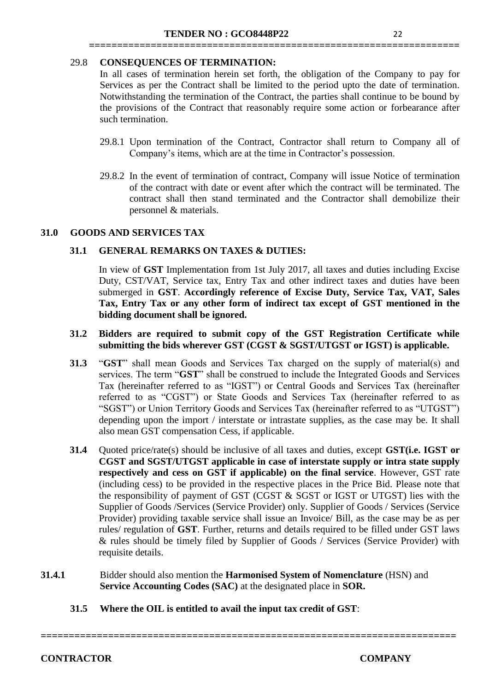# 29.8 **CONSEQUENCES OF TERMINATION:**

In all cases of termination herein set forth, the obligation of the Company to pay for Services as per the Contract shall be limited to the period upto the date of termination. Notwithstanding the termination of the Contract, the parties shall continue to be bound by the provisions of the Contract that reasonably require some action or forbearance after such termination.

**==================================================================**

- 29.8.1 Upon termination of the Contract, Contractor shall return to Company all of Company's items, which are at the time in Contractor's possession.
- 29.8.2 In the event of termination of contract, Company will issue Notice of termination of the contract with date or event after which the contract will be terminated. The contract shall then stand terminated and the Contractor shall demobilize their personnel & materials.

# **31.0 GOODS AND SERVICES TAX**

# **31.1 GENERAL REMARKS ON TAXES & DUTIES:**

In view of **GST** Implementation from 1st July 2017, all taxes and duties including Excise Duty, CST/VAT, Service tax, Entry Tax and other indirect taxes and duties have been submerged in **GST**. **Accordingly reference of Excise Duty, Service Tax, VAT, Sales Tax, Entry Tax or any other form of indirect tax except of GST mentioned in the bidding document shall be ignored.** 

#### **31.2 Bidders are required to submit copy of the GST Registration Certificate while submitting the bids wherever GST (CGST & SGST/UTGST or IGST) is applicable.**

- **31.3** "**GST**" shall mean Goods and Services Tax charged on the supply of material(s) and services. The term "**GST**" shall be construed to include the Integrated Goods and Services Tax (hereinafter referred to as "IGST") or Central Goods and Services Tax (hereinafter referred to as "CGST") or State Goods and Services Tax (hereinafter referred to as "SGST") or Union Territory Goods and Services Tax (hereinafter referred to as "UTGST") depending upon the import / interstate or intrastate supplies, as the case may be. It shall also mean GST compensation Cess, if applicable.
- **31.4** Quoted price/rate(s) should be inclusive of all taxes and duties, except **GST(i.e. IGST or CGST and SGST/UTGST applicable in case of interstate supply or intra state supply respectively and cess on GST if applicable) on the final service**. However, GST rate (including cess) to be provided in the respective places in the Price Bid. Please note that the responsibility of payment of GST (CGST & SGST or IGST or UTGST) lies with the Supplier of Goods /Services (Service Provider) only. Supplier of Goods / Services (Service Provider) providing taxable service shall issue an Invoice/ Bill, as the case may be as per rules/ regulation of **GST**. Further, returns and details required to be filled under GST laws & rules should be timely filed by Supplier of Goods / Services (Service Provider) with requisite details.
- **31.4.1** Bidder should also mention the **Harmonised System of Nomenclature** (HSN) and  **Service Accounting Codes (SAC)** at the designated place in **SOR.**
	- **31.5 Where the OIL is entitled to avail the input tax credit of GST**: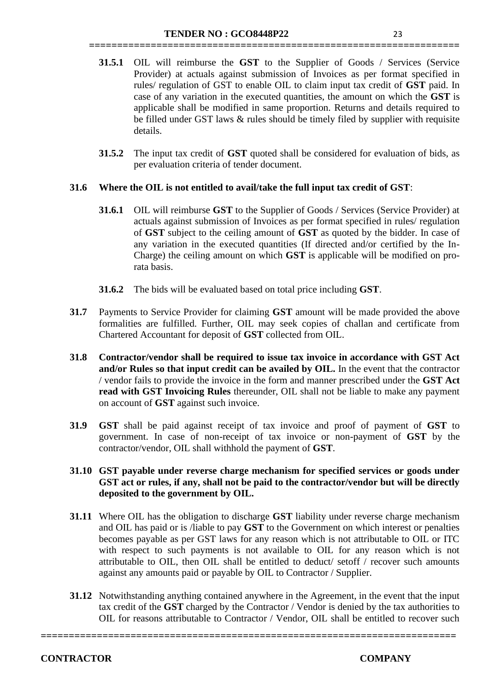**31.5.1** OIL will reimburse the **GST** to the Supplier of Goods / Services (Service Provider) at actuals against submission of Invoices as per format specified in rules/ regulation of GST to enable OIL to claim input tax credit of **GST** paid. In case of any variation in the executed quantities, the amount on which the **GST** is applicable shall be modified in same proportion. Returns and details required to be filled under GST laws  $&$  rules should be timely filed by supplier with requisite details.

**==================================================================**

**31.5.2** The input tax credit of **GST** quoted shall be considered for evaluation of bids, as per evaluation criteria of tender document.

# **31.6 Where the OIL is not entitled to avail/take the full input tax credit of GST**:

- **31.6.1** OIL will reimburse **GST** to the Supplier of Goods / Services (Service Provider) at actuals against submission of Invoices as per format specified in rules/ regulation of **GST** subject to the ceiling amount of **GST** as quoted by the bidder. In case of any variation in the executed quantities (If directed and/or certified by the In-Charge) the ceiling amount on which **GST** is applicable will be modified on prorata basis.
- **31.6.2** The bids will be evaluated based on total price including **GST**.
- **31.7** Payments to Service Provider for claiming **GST** amount will be made provided the above formalities are fulfilled. Further, OIL may seek copies of challan and certificate from Chartered Accountant for deposit of **GST** collected from OIL.
- **31.8 Contractor/vendor shall be required to issue tax invoice in accordance with GST Act and/or Rules so that input credit can be availed by OIL.** In the event that the contractor / vendor fails to provide the invoice in the form and manner prescribed under the **GST Act read with GST Invoicing Rules** thereunder, OIL shall not be liable to make any payment on account of **GST** against such invoice.
- **31.9 GST** shall be paid against receipt of tax invoice and proof of payment of **GST** to government. In case of non-receipt of tax invoice or non-payment of **GST** by the contractor/vendor, OIL shall withhold the payment of **GST**.
- **31.10 GST payable under reverse charge mechanism for specified services or goods under GST act or rules, if any, shall not be paid to the contractor/vendor but will be directly deposited to the government by OIL.**
- **31.11** Where OIL has the obligation to discharge **GST** liability under reverse charge mechanism and OIL has paid or is /liable to pay **GST** to the Government on which interest or penalties becomes payable as per GST laws for any reason which is not attributable to OIL or ITC with respect to such payments is not available to OIL for any reason which is not attributable to OIL, then OIL shall be entitled to deduct/ setoff / recover such amounts against any amounts paid or payable by OIL to Contractor / Supplier.
- **31.12** Notwithstanding anything contained anywhere in the Agreement, in the event that the input tax credit of the **GST** charged by the Contractor / Vendor is denied by the tax authorities to OIL for reasons attributable to Contractor / Vendor, OIL shall be entitled to recover such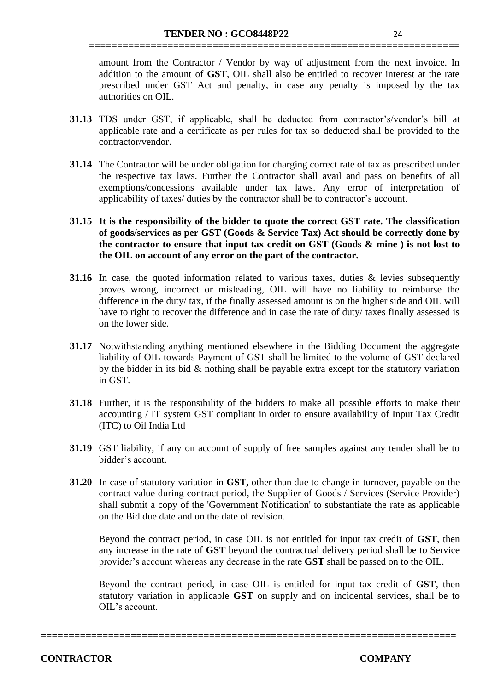amount from the Contractor / Vendor by way of adjustment from the next invoice. In addition to the amount of **GST**, OIL shall also be entitled to recover interest at the rate prescribed under GST Act and penalty, in case any penalty is imposed by the tax authorities on OIL.

**==================================================================**

- **31.13** TDS under GST, if applicable, shall be deducted from contractor's/vendor's bill at applicable rate and a certificate as per rules for tax so deducted shall be provided to the contractor/vendor.
- **31.14** The Contractor will be under obligation for charging correct rate of tax as prescribed under the respective tax laws. Further the Contractor shall avail and pass on benefits of all exemptions/concessions available under tax laws. Any error of interpretation of applicability of taxes/ duties by the contractor shall be to contractor's account.
- **31.15 It is the responsibility of the bidder to quote the correct GST rate. The classification of goods/services as per GST (Goods & Service Tax) Act should be correctly done by the contractor to ensure that input tax credit on GST (Goods & mine ) is not lost to the OIL on account of any error on the part of the contractor.**
- **31.16** In case, the quoted information related to various taxes, duties & levies subsequently proves wrong, incorrect or misleading, OIL will have no liability to reimburse the difference in the duty/ tax, if the finally assessed amount is on the higher side and OIL will have to right to recover the difference and in case the rate of duty/ taxes finally assessed is on the lower side.
- **31.17** Notwithstanding anything mentioned elsewhere in the Bidding Document the aggregate liability of OIL towards Payment of GST shall be limited to the volume of GST declared by the bidder in its bid  $\&$  nothing shall be payable extra except for the statutory variation in GST.
- **31.18** Further, it is the responsibility of the bidders to make all possible efforts to make their accounting / IT system GST compliant in order to ensure availability of Input Tax Credit (ITC) to Oil India Ltd
- **31.19** GST liability, if any on account of supply of free samples against any tender shall be to bidder's account.
- **31.20** In case of statutory variation in **GST,** other than due to change in turnover, payable on the contract value during contract period, the Supplier of Goods / Services (Service Provider) shall submit a copy of the 'Government Notification' to substantiate the rate as applicable on the Bid due date and on the date of revision.

Beyond the contract period, in case OIL is not entitled for input tax credit of **GST**, then any increase in the rate of **GST** beyond the contractual delivery period shall be to Service provider's account whereas any decrease in the rate **GST** shall be passed on to the OIL.

Beyond the contract period, in case OIL is entitled for input tax credit of **GST**, then statutory variation in applicable **GST** on supply and on incidental services, shall be to OIL's account.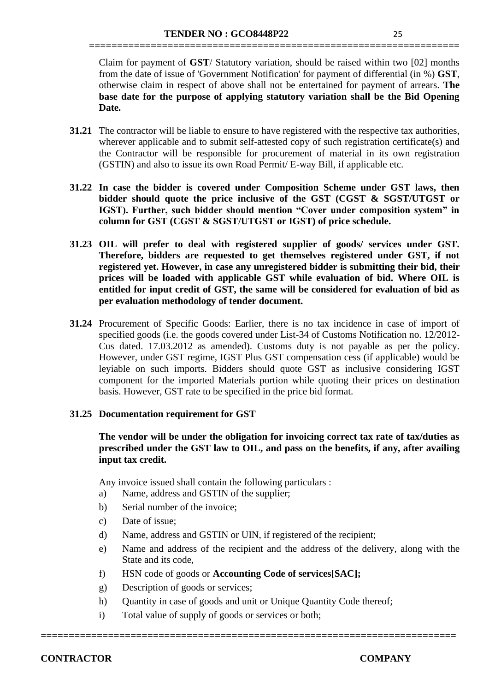Claim for payment of **GST**/ Statutory variation, should be raised within two [02] months from the date of issue of 'Government Notification' for payment of differential (in %) **GST**, otherwise claim in respect of above shall not be entertained for payment of arrears. **The base date for the purpose of applying statutory variation shall be the Bid Opening Date.**

**==================================================================**

- **31.21** The contractor will be liable to ensure to have registered with the respective tax authorities, wherever applicable and to submit self-attested copy of such registration certificate(s) and the Contractor will be responsible for procurement of material in its own registration (GSTIN) and also to issue its own Road Permit/ E-way Bill, if applicable etc.
- **31.22 In case the bidder is covered under Composition Scheme under GST laws, then bidder should quote the price inclusive of the GST (CGST & SGST/UTGST or IGST). Further, such bidder should mention "Cover under composition system" in column for GST (CGST & SGST/UTGST or IGST) of price schedule.**
- **31.23 OIL will prefer to deal with registered supplier of goods/ services under GST. Therefore, bidders are requested to get themselves registered under GST, if not registered yet. However, in case any unregistered bidder is submitting their bid, their prices will be loaded with applicable GST while evaluation of bid. Where OIL is entitled for input credit of GST, the same will be considered for evaluation of bid as per evaluation methodology of tender document.**
- **31.24** Procurement of Specific Goods: Earlier, there is no tax incidence in case of import of specified goods (i.e. the goods covered under List-34 of Customs Notification no. 12/2012- Cus dated. 17.03.2012 as amended). Customs duty is not payable as per the policy. However, under GST regime, IGST Plus GST compensation cess (if applicable) would be leyiable on such imports. Bidders should quote GST as inclusive considering IGST component for the imported Materials portion while quoting their prices on destination basis. However, GST rate to be specified in the price bid format.

# **31.25 Documentation requirement for GST**

**The vendor will be under the obligation for invoicing correct tax rate of tax/duties as prescribed under the GST law to OIL, and pass on the benefits, if any, after availing input tax credit.** 

Any invoice issued shall contain the following particulars :

- a) Name, address and GSTIN of the supplier;
- b) Serial number of the invoice;
- c) Date of issue;
- d) Name, address and GSTIN or UIN, if registered of the recipient;
- e) Name and address of the recipient and the address of the delivery, along with the State and its code,
- f) HSN code of goods or **Accounting Code of services[SAC];**
- g) Description of goods or services;
- h) Quantity in case of goods and unit or Unique Quantity Code thereof;

**==========================================================================**

i) Total value of supply of goods or services or both;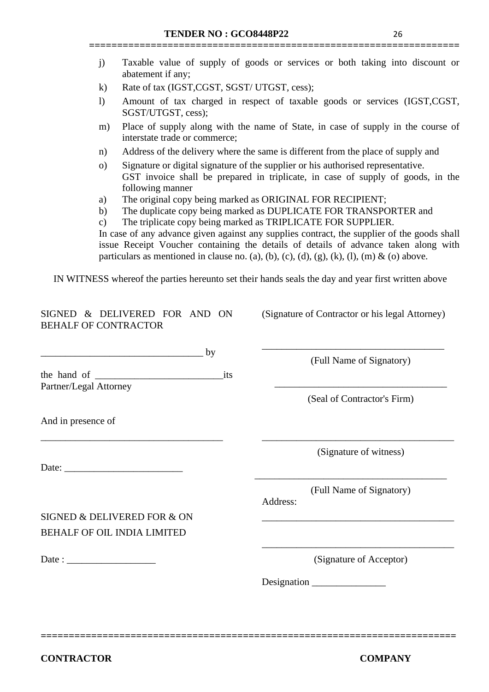j) Taxable value of supply of goods or services or both taking into discount or abatement if any;

**==================================================================**

- k) Rate of tax (IGST,CGST, SGST/ UTGST, cess);
- l) Amount of tax charged in respect of taxable goods or services (IGST,CGST, SGST/UTGST, cess);
- m) Place of supply along with the name of State, in case of supply in the course of interstate trade or commerce;
- n) Address of the delivery where the same is different from the place of supply and
- o) Signature or digital signature of the supplier or his authorised representative. GST invoice shall be prepared in triplicate, in case of supply of goods, in the following manner
- a) The original copy being marked as ORIGINAL FOR RECIPIENT;
- b) The duplicate copy being marked as DUPLICATE FOR TRANSPORTER and
- c) The triplicate copy being marked as TRIPLICATE FOR SUPPLIER.

In case of any advance given against any supplies contract, the supplier of the goods shall issue Receipt Voucher containing the details of details of advance taken along with particulars as mentioned in clause no. (a), (b), (c), (d), (g), (k), (l), (m) & (o) above.

IN WITNESS whereof the parties hereunto set their hands seals the day and year first written above

| SIGNED & DELIVERED FOR AND ON<br><b>BEHALF OF CONTRACTOR</b>                                                               | (Signature of Contractor or his legal Attorney)                                           |
|----------------------------------------------------------------------------------------------------------------------------|-------------------------------------------------------------------------------------------|
| by<br><u> 2000 - 2000 - 2000 - 2000 - 2000 - 2000 - 2000 - 2000 - 2000 - 2000 - 2000 - 2000 - 2000 - 2000 - 2000 - 200</u> | (Full Name of Signatory)                                                                  |
| Partner/Legal Attorney                                                                                                     |                                                                                           |
|                                                                                                                            | (Seal of Contractor's Firm)                                                               |
| And in presence of                                                                                                         |                                                                                           |
|                                                                                                                            | (Signature of witness)                                                                    |
|                                                                                                                            |                                                                                           |
|                                                                                                                            | (Full Name of Signatory)<br>Address:                                                      |
| SIGNED & DELIVERED FOR & ON                                                                                                | the control of the control of the control of the control of the control of the control of |
| <b>BEHALF OF OIL INDIA LIMITED</b>                                                                                         |                                                                                           |
|                                                                                                                            | (Signature of Acceptor)                                                                   |
|                                                                                                                            | Designation                                                                               |
|                                                                                                                            |                                                                                           |
|                                                                                                                            |                                                                                           |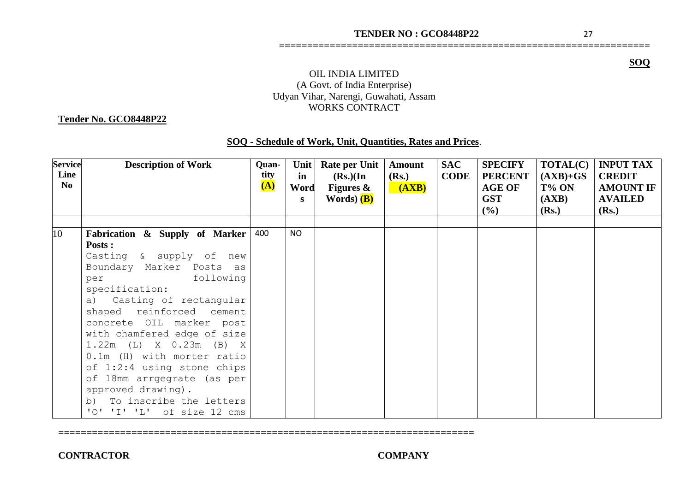**==================================================================**

**SOQ** 

# OIL INDIA LIMITED (A Govt. of India Enterprise) Udyan Vihar, Narengi, Guwahati, Assam WORKS CONTRACT

#### **Tender No. GCO8448P22**

| SOQ - Schedule of Work, Unit, Quantities, Rates and Prices. |  |
|-------------------------------------------------------------|--|
|                                                             |  |

| <b>Service</b><br>Line<br>N <sub>o</sub> | <b>Description of Work</b>                                                                                                                                                                                                                                                                                                                                                                                                                                                | Quan-<br>tity<br>$\overline{A}$ | <b>Unit</b><br>in<br>Word<br>$\mathbf{s}$ | Rate per Unit<br>$(Rs.)$ (In<br>Figures $\&$<br>Words) (B) | <b>Amount</b><br>(Rs.)<br>(AXB) | <b>SAC</b><br><b>CODE</b> | <b>SPECIFY</b><br><b>PERCENT</b><br><b>AGE OF</b><br><b>GST</b><br>(%) | <b>TOTAL(C)</b><br>$(AXB)+GS$<br>T% ON<br>(AXB)<br>(Rs.) | <b>INPUT TAX</b><br><b>CREDIT</b><br><b>AMOUNT IF</b><br><b>AVAILED</b><br>(Rs.) |
|------------------------------------------|---------------------------------------------------------------------------------------------------------------------------------------------------------------------------------------------------------------------------------------------------------------------------------------------------------------------------------------------------------------------------------------------------------------------------------------------------------------------------|---------------------------------|-------------------------------------------|------------------------------------------------------------|---------------------------------|---------------------------|------------------------------------------------------------------------|----------------------------------------------------------|----------------------------------------------------------------------------------|
| 10 <sup>°</sup>                          | Fabrication & Supply of Marker<br>Posts :<br>Casting & supply of new<br>Boundary Marker Posts as<br>following<br>per<br>specification:<br>Casting of rectangular<br>a)<br>shaped reinforced cement<br>concrete OIL marker post<br>with chamfered edge of size<br>$1.22m$ (L) X 0.23m (B) X<br>0.1m (H) with morter ratio<br>of 1:2:4 using stone chips<br>of 18mm arrgegrate (as per<br>approved drawing).<br>To inscribe the letters<br>b)<br>'O' 'I' 'L' of size 12 cms | 400                             | <b>NO</b>                                 |                                                            |                                 |                           |                                                                        |                                                          |                                                                                  |

**==========================================================================**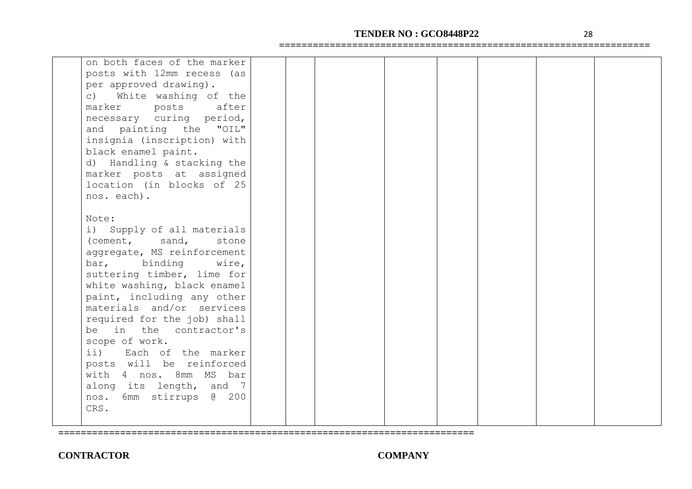# **TENDER NO : GCO8448P22** 28

**==================================================================**

| on both faces of the marker |  |  |  |  |
|-----------------------------|--|--|--|--|
| posts with 12mm recess (as  |  |  |  |  |
|                             |  |  |  |  |
| per approved drawing).      |  |  |  |  |
| c) White washing of the     |  |  |  |  |
| posts after<br>marker       |  |  |  |  |
| necessary curing period,    |  |  |  |  |
| and painting the "OIL"      |  |  |  |  |
| insignia (inscription) with |  |  |  |  |
| black enamel paint.         |  |  |  |  |
| d) Handling & stacking the  |  |  |  |  |
| marker posts at assigned    |  |  |  |  |
| location (in blocks of 25   |  |  |  |  |
| nos. each).                 |  |  |  |  |
|                             |  |  |  |  |
| Note:                       |  |  |  |  |
|                             |  |  |  |  |
| i) Supply of all materials  |  |  |  |  |
| (cement, sand,<br>stone     |  |  |  |  |
| aggregate, MS reinforcement |  |  |  |  |
| bar, binding<br>wire,       |  |  |  |  |
| suttering timber, lime for  |  |  |  |  |
| white washing, black enamel |  |  |  |  |
| paint, including any other  |  |  |  |  |
| materials and/or services   |  |  |  |  |
| required for the job) shall |  |  |  |  |
| be in the contractor's      |  |  |  |  |
| scope of work.              |  |  |  |  |
| ii) Each of the marker      |  |  |  |  |
| posts will be reinforced    |  |  |  |  |
| with 4 nos. 8mm MS bar      |  |  |  |  |
| along its length, and 7     |  |  |  |  |
| 6mm stirrups @ 200<br>nos.  |  |  |  |  |
| CRS.                        |  |  |  |  |
|                             |  |  |  |  |
|                             |  |  |  |  |

**==========================================================================**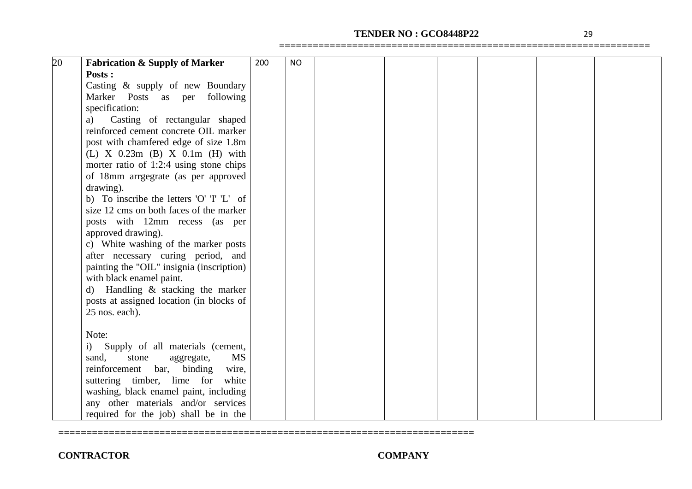# **TENDER NO : GCO8448P22** 29

**==================================================================**

| 20 | <b>Fabrication &amp; Supply of Marker</b> | 200 | <b>NO</b> |  |  |  |
|----|-------------------------------------------|-----|-----------|--|--|--|
|    | Posts :                                   |     |           |  |  |  |
|    | Casting & supply of new Boundary          |     |           |  |  |  |
|    | Marker Posts as per following             |     |           |  |  |  |
|    | specification:                            |     |           |  |  |  |
|    | Casting of rectangular shaped<br>a)       |     |           |  |  |  |
|    | reinforced cement concrete OIL marker     |     |           |  |  |  |
|    | post with chamfered edge of size 1.8m     |     |           |  |  |  |
|    | (L) X $0.23m$ (B) X $0.1m$ (H) with       |     |           |  |  |  |
|    | morter ratio of 1:2:4 using stone chips   |     |           |  |  |  |
|    | of 18mm arrgegrate (as per approved       |     |           |  |  |  |
|    | drawing).                                 |     |           |  |  |  |
|    | b) To inscribe the letters 'O' T 'L' of   |     |           |  |  |  |
|    | size 12 cms on both faces of the marker   |     |           |  |  |  |
|    | posts with 12mm recess (as per            |     |           |  |  |  |
|    | approved drawing).                        |     |           |  |  |  |
|    | c) White washing of the marker posts      |     |           |  |  |  |
|    | after necessary curing period, and        |     |           |  |  |  |
|    | painting the "OIL" insignia (inscription) |     |           |  |  |  |
|    | with black enamel paint.                  |     |           |  |  |  |
|    | Handling & stacking the marker<br>d)      |     |           |  |  |  |
|    | posts at assigned location (in blocks of  |     |           |  |  |  |
|    | 25 nos. each).                            |     |           |  |  |  |
|    |                                           |     |           |  |  |  |
|    | Note:                                     |     |           |  |  |  |
|    | Supply of all materials (cement,<br>i)    |     |           |  |  |  |
|    | <b>MS</b><br>sand,<br>stone<br>aggregate, |     |           |  |  |  |
|    | reinforcement<br>bar,<br>binding<br>wire, |     |           |  |  |  |
|    | suttering timber, lime for<br>white       |     |           |  |  |  |
|    | washing, black enamel paint, including    |     |           |  |  |  |
|    | any other materials and/or services       |     |           |  |  |  |
|    | required for the job) shall be in the     |     |           |  |  |  |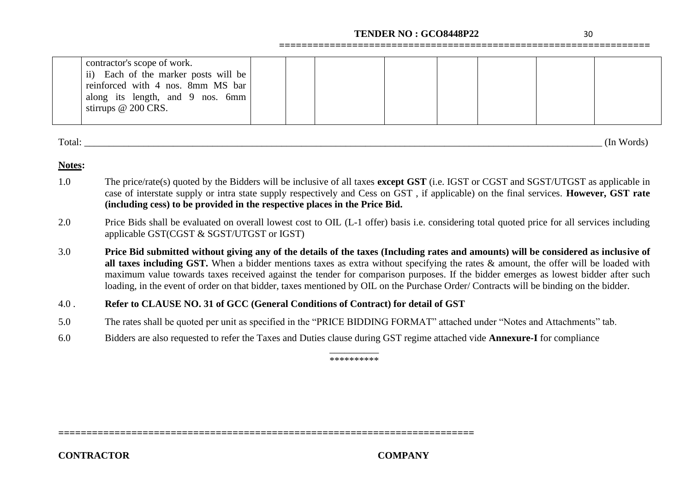# **TENDER NO : GCO8448P22** 30

**==================================================================**

| contractor's scope of work.<br>ii) Each of the marker posts will be |  |  |  |  |
|---------------------------------------------------------------------|--|--|--|--|
| reinforced with 4 nos. 8mm MS bar                                   |  |  |  |  |
| along its length, and 9 nos. 6mm<br>stirrups $@$ 200 CRS.           |  |  |  |  |
|                                                                     |  |  |  |  |

Total: \_\_\_\_\_\_\_\_\_\_\_\_\_\_\_\_\_\_\_\_\_\_\_\_\_\_\_\_\_\_\_\_\_\_\_\_\_\_\_\_\_\_\_\_\_\_\_\_\_\_\_\_\_\_\_\_\_\_\_\_\_\_\_\_\_\_\_\_\_\_\_\_\_\_\_\_\_\_\_\_\_\_\_\_\_\_\_\_\_\_\_\_\_\_\_\_\_\_\_\_\_\_\_\_\_ (In Words)

#### **Notes:**

- 1.0 The price/rate(s) quoted by the Bidders will be inclusive of all taxes **except GST** (i.e. IGST or CGST and SGST/UTGST as applicable in case of interstate supply or intra state supply respectively and Cess on GST , if applicable) on the final services. **However, GST rate (including cess) to be provided in the respective places in the Price Bid.**
- 2.0 Price Bids shall be evaluated on overall lowest cost to OIL (L-1 offer) basis i.e. considering total quoted price for all services including applicable GST(CGST & SGST/UTGST or IGST)
- 3.0 **Price Bid submitted without giving any of the details of the taxes (Including rates and amounts) will be considered as inclusive of all taxes including GST.** When a bidder mentions taxes as extra without specifying the rates & amount, the offer will be loaded with maximum value towards taxes received against the tender for comparison purposes. If the bidder emerges as lowest bidder after such loading, in the event of order on that bidder, taxes mentioned by OIL on the Purchase Order/ Contracts will be binding on the bidder.

# 4.0 . **Refer to CLAUSE NO. 31 of GCC (General Conditions of Contract) for detail of GST**

**==========================================================================**

- 5.0 The rates shall be quoted per unit as specified in the "PRICE BIDDING FORMAT" attached under "Notes and Attachments" tab.
- 6.0 Bidders are also requested to refer the Taxes and Duties clause during GST regime attached vide **Annexure-I** for compliance

\_\_\_\_\_\_\_\_\_\_ \*\*\*\*\*\*\*\*\*\*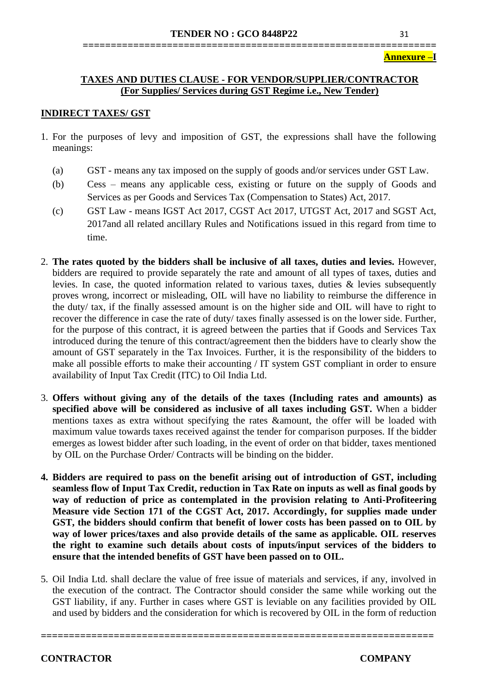#### **Annexure –I**

# **TAXES AND DUTIES CLAUSE - FOR VENDOR/SUPPLIER/CONTRACTOR (For Supplies/ Services during GST Regime i.e., New Tender)**

#### **INDIRECT TAXES/ GST**

- 1. For the purposes of levy and imposition of GST, the expressions shall have the following meanings:
	- (a) GST means any tax imposed on the supply of goods and/or services under GST Law.
	- (b) Cess means any applicable cess, existing or future on the supply of Goods and Services as per Goods and Services Tax (Compensation to States) Act, 2017.
	- (c) GST Law means IGST Act 2017, CGST Act 2017, UTGST Act, 2017 and SGST Act, 2017and all related ancillary Rules and Notifications issued in this regard from time to time.
- 2. **The rates quoted by the bidders shall be inclusive of all taxes, duties and levies.** However, bidders are required to provide separately the rate and amount of all types of taxes, duties and levies. In case, the quoted information related to various taxes, duties & levies subsequently proves wrong, incorrect or misleading, OIL will have no liability to reimburse the difference in the duty/ tax, if the finally assessed amount is on the higher side and OIL will have to right to recover the difference in case the rate of duty/ taxes finally assessed is on the lower side. Further, for the purpose of this contract, it is agreed between the parties that if Goods and Services Tax introduced during the tenure of this contract/agreement then the bidders have to clearly show the amount of GST separately in the Tax Invoices. Further, it is the responsibility of the bidders to make all possible efforts to make their accounting / IT system GST compliant in order to ensure availability of Input Tax Credit (ITC) to Oil India Ltd.
- 3. **Offers without giving any of the details of the taxes (Including rates and amounts) as specified above will be considered as inclusive of all taxes including GST.** When a bidder mentions taxes as extra without specifying the rates &amount, the offer will be loaded with maximum value towards taxes received against the tender for comparison purposes. If the bidder emerges as lowest bidder after such loading, in the event of order on that bidder, taxes mentioned by OIL on the Purchase Order/ Contracts will be binding on the bidder.
- **4. Bidders are required to pass on the benefit arising out of introduction of GST, including seamless flow of Input Tax Credit, reduction in Tax Rate on inputs as well as final goods by way of reduction of price as contemplated in the provision relating to Anti-Profiteering Measure vide Section 171 of the CGST Act, 2017. Accordingly, for supplies made under GST, the bidders should confirm that benefit of lower costs has been passed on to OIL by way of lower prices/taxes and also provide details of the same as applicable. OIL reserves the right to examine such details about costs of inputs/input services of the bidders to ensure that the intended benefits of GST have been passed on to OIL.**
- 5. Oil India Ltd. shall declare the value of free issue of materials and services, if any, involved in the execution of the contract. The Contractor should consider the same while working out the GST liability, if any. Further in cases where GST is leviable on any facilities provided by OIL and used by bidders and the consideration for which is recovered by OIL in the form of reduction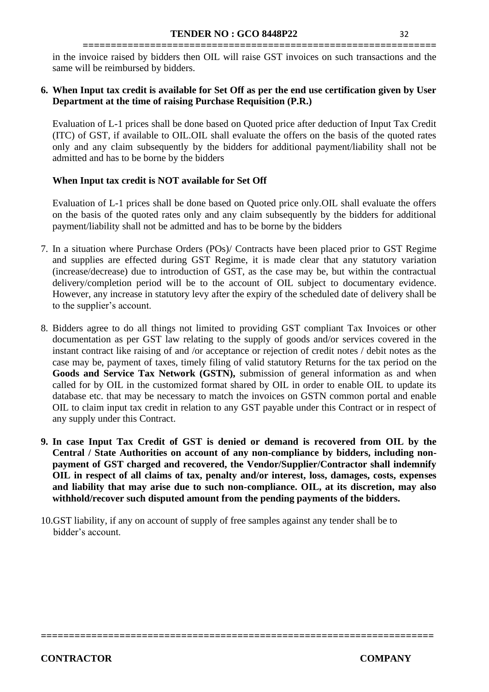**===============================================================** in the invoice raised by bidders then OIL will raise GST invoices on such transactions and the same will be reimbursed by bidders.

# **6. When Input tax credit is available for Set Off as per the end use certification given by User Department at the time of raising Purchase Requisition (P.R.)**

Evaluation of L-1 prices shall be done based on Quoted price after deduction of Input Tax Credit (ITC) of GST, if available to OIL.OIL shall evaluate the offers on the basis of the quoted rates only and any claim subsequently by the bidders for additional payment/liability shall not be admitted and has to be borne by the bidders

# **When Input tax credit is NOT available for Set Off**

Evaluation of L-1 prices shall be done based on Quoted price only.OIL shall evaluate the offers on the basis of the quoted rates only and any claim subsequently by the bidders for additional payment/liability shall not be admitted and has to be borne by the bidders

- 7. In a situation where Purchase Orders (POs)/ Contracts have been placed prior to GST Regime and supplies are effected during GST Regime, it is made clear that any statutory variation (increase/decrease) due to introduction of GST, as the case may be, but within the contractual delivery/completion period will be to the account of OIL subject to documentary evidence. However, any increase in statutory levy after the expiry of the scheduled date of delivery shall be to the supplier's account.
- 8. Bidders agree to do all things not limited to providing GST compliant Tax Invoices or other documentation as per GST law relating to the supply of goods and/or services covered in the instant contract like raising of and /or acceptance or rejection of credit notes / debit notes as the case may be, payment of taxes, timely filing of valid statutory Returns for the tax period on the **Goods and Service Tax Network (GSTN),** submission of general information as and when called for by OIL in the customized format shared by OIL in order to enable OIL to update its database etc. that may be necessary to match the invoices on GSTN common portal and enable OIL to claim input tax credit in relation to any GST payable under this Contract or in respect of any supply under this Contract.
- **9. In case Input Tax Credit of GST is denied or demand is recovered from OIL by the Central / State Authorities on account of any non-compliance by bidders, including nonpayment of GST charged and recovered, the Vendor/Supplier/Contractor shall indemnify OIL in respect of all claims of tax, penalty and/or interest, loss, damages, costs, expenses and liability that may arise due to such non-compliance. OIL, at its discretion, may also withhold/recover such disputed amount from the pending payments of the bidders.**

**======================================================================** 

10.GST liability, if any on account of supply of free samples against any tender shall be to bidder's account.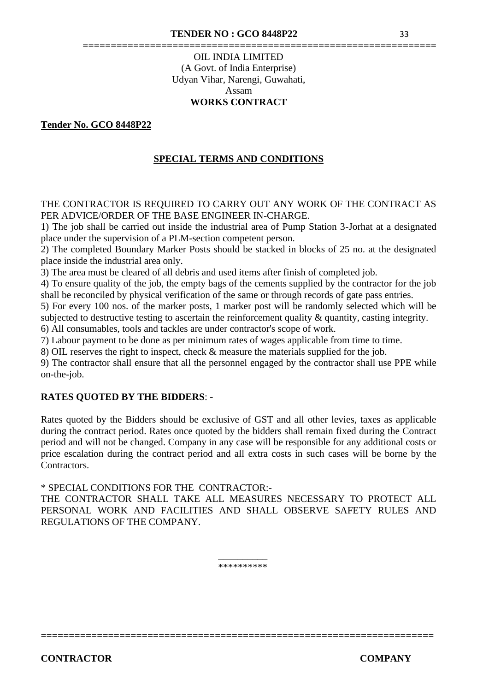# **===============================================================** OIL INDIA LIMITED (A Govt. of India Enterprise) Udyan Vihar, Narengi, Guwahati, Assam **WORKS CONTRACT**

#### **Tender No. GCO 8448P22**

# **SPECIAL TERMS AND CONDITIONS**

THE CONTRACTOR IS REQUIRED TO CARRY OUT ANY WORK OF THE CONTRACT AS PER ADVICE/ORDER OF THE BASE ENGINEER IN-CHARGE.

1) The job shall be carried out inside the industrial area of Pump Station 3-Jorhat at a designated place under the supervision of a PLM-section competent person.

2) The completed Boundary Marker Posts should be stacked in blocks of 25 no. at the designated place inside the industrial area only.

3) The area must be cleared of all debris and used items after finish of completed job.

4) To ensure quality of the job, the empty bags of the cements supplied by the contractor for the job shall be reconciled by physical verification of the same or through records of gate pass entries.

5) For every 100 nos. of the marker posts, 1 marker post will be randomly selected which will be subjected to destructive testing to ascertain the reinforcement quality & quantity, casting integrity.

6) All consumables, tools and tackles are under contractor's scope of work.

7) Labour payment to be done as per minimum rates of wages applicable from time to time.

8) OIL reserves the right to inspect, check & measure the materials supplied for the job.

9) The contractor shall ensure that all the personnel engaged by the contractor shall use PPE while on-the-job.

#### **RATES QUOTED BY THE BIDDERS**: -

Rates quoted by the Bidders should be exclusive of GST and all other levies, taxes as applicable during the contract period. Rates once quoted by the bidders shall remain fixed during the Contract period and will not be changed. Company in any case will be responsible for any additional costs or price escalation during the contract period and all extra costs in such cases will be borne by the Contractors.

\* SPECIAL CONDITIONS FOR THE CONTRACTOR:-

THE CONTRACTOR SHALL TAKE ALL MEASURES NECESSARY TO PROTECT ALL PERSONAL WORK AND FACILITIES AND SHALL OBSERVE SAFETY RULES AND REGULATIONS OF THE COMPANY.

> \_\_\_\_\_\_\_\_\_\_ \*\*\*\*\*\*\*\*\*\*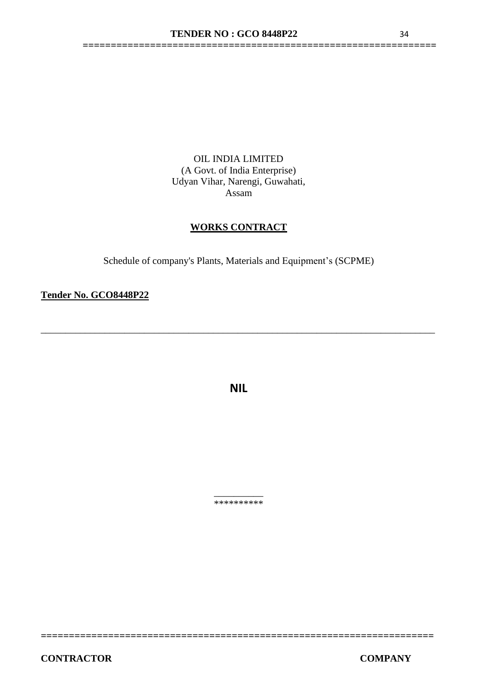**===============================================================**

OIL INDIA LIMITED (A Govt. of India Enterprise) Udyan Vihar, Narengi, Guwahati, Assam

# **WORKS CONTRACT**

Schedule of company's Plants, Materials and Equipment's (SCPME)

**Tender No. GCO8448P22** 

**NIL**

\_\_\_\_\_\_\_\_\_\_\_\_\_\_\_\_\_\_\_\_\_\_\_\_\_\_\_\_\_\_\_\_\_\_\_\_\_\_\_\_\_\_\_\_\_\_\_\_\_\_\_\_\_\_\_\_\_\_\_\_\_\_\_\_\_\_\_\_\_\_\_\_\_\_\_\_\_\_\_\_

 $\overline{\phantom{a}}$ \*\*\*\*\*\*\*\*\*\*

**======================================================================**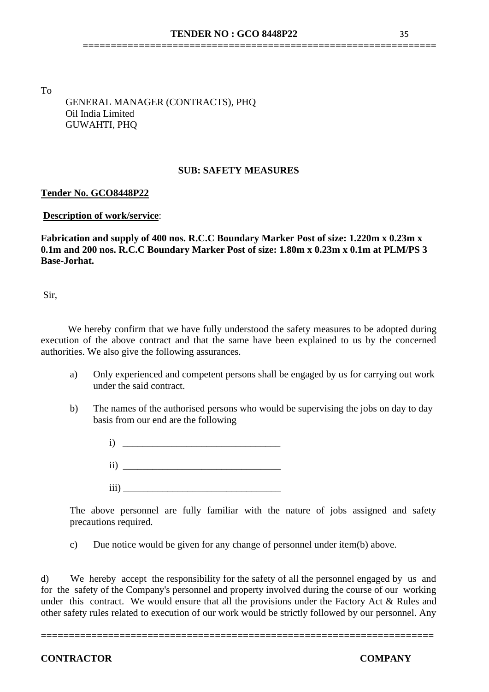**===============================================================**

To

 GENERAL MANAGER (CONTRACTS), PHQ Oil India Limited GUWAHTI, PHQ

#### **SUB: SAFETY MEASURES**

# **Tender No. GCO8448P22**

#### **Description of work/service**:

**Fabrication and supply of 400 nos. R.C.C Boundary Marker Post of size: 1.220m x 0.23m x 0.1m and 200 nos. R.C.C Boundary Marker Post of size: 1.80m x 0.23m x 0.1m at PLM/PS 3 Base-Jorhat.**

Sir,

We hereby confirm that we have fully understood the safety measures to be adopted during execution of the above contract and that the same have been explained to us by the concerned authorities. We also give the following assurances.

- a) Only experienced and competent persons shall be engaged by us for carrying out work under the said contract.
- b) The names of the authorised persons who would be supervising the jobs on day to day basis from our end are the following
	- $i)$  $\rm ii)$  $\overline{\text{iii}}$

The above personnel are fully familiar with the nature of jobs assigned and safety precautions required.

c) Due notice would be given for any change of personnel under item(b) above.

d) We hereby accept the responsibility for the safety of all the personnel engaged by us and for the safety of the Company's personnel and property involved during the course of our working under this contract. We would ensure that all the provisions under the Factory Act & Rules and other safety rules related to execution of our work would be strictly followed by our personnel. Any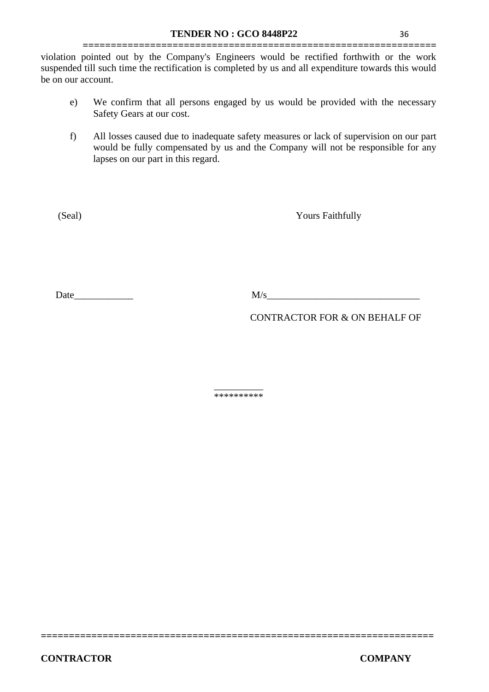**===============================================================** violation pointed out by the Company's Engineers would be rectified forthwith or the work suspended till such time the rectification is completed by us and all expenditure towards this would be on our account.

- e) We confirm that all persons engaged by us would be provided with the necessary Safety Gears at our cost.
- f) All losses caused due to inadequate safety measures or lack of supervision on our part would be fully compensated by us and the Company will not be responsible for any lapses on our part in this regard.

(Seal) Yours Faithfully

Date  $M/s$ 

CONTRACTOR FOR & ON BEHALF OF

\_\_\_\_\_\_\_\_\_\_ \*\*\*\*\*\*\*\*\*\*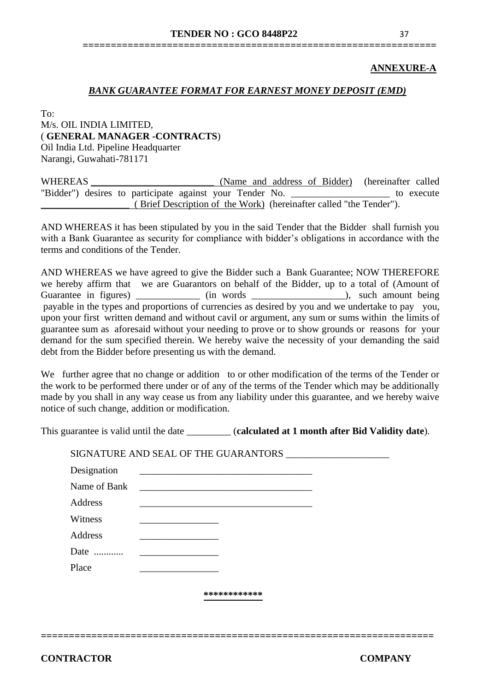# **===============================================================**

#### **ANNEXURE-A**

#### *BANK GUARANTEE FORMAT FOR EARNEST MONEY DEPOSIT (EMD)*

To:

# M/s. OIL INDIA LIMITED, ( **GENERAL MANAGER -CONTRACTS**) Oil India Ltd. Pipeline Headquarter Narangi, Guwahati-781171

| WHEREAS                                                  |  | (Name and address of Bidder) (hereinafter called                   |            |
|----------------------------------------------------------|--|--------------------------------------------------------------------|------------|
| "Bidder") desires to participate against your Tender No. |  |                                                                    | to execute |
|                                                          |  | (Brief Description of the Work) (hereinafter called "the Tender"). |            |

AND WHEREAS it has been stipulated by you in the said Tender that the Bidder shall furnish you with a Bank Guarantee as security for compliance with bidder's obligations in accordance with the terms and conditions of the Tender.

AND WHEREAS we have agreed to give the Bidder such a Bank Guarantee; NOW THEREFORE we hereby affirm that we are Guarantors on behalf of the Bidder, up to a total of (Amount of Guarantee in figures) \_\_\_\_\_\_\_\_\_\_\_\_ (in words \_\_\_\_\_\_\_\_\_\_\_\_\_\_\_\_\_\_), such amount being payable in the types and proportions of currencies as desired by you and we undertake to pay you, upon your first written demand and without cavil or argument, any sum or sums within the limits of guarantee sum as aforesaid without your needing to prove or to show grounds or reasons for your demand for the sum specified therein. We hereby waive the necessity of your demanding the said debt from the Bidder before presenting us with the demand.

We further agree that no change or addition to or other modification of the terms of the Tender or the work to be performed there under or of any of the terms of the Tender which may be additionally made by you shall in any way cease us from any liability under this guarantee, and we hereby waive notice of such change, addition or modification.

This guarantee is valid until the date \_\_\_\_\_\_\_\_\_ (**calculated at 1 month after Bid Validity date**).

| Name of Bank |  | <u> 1980 - Jan Samuel Barbara, margaret e</u> |  |
|--------------|--|-----------------------------------------------|--|
| Address      |  |                                               |  |
| Witness      |  |                                               |  |
| Address      |  |                                               |  |
| Date         |  |                                               |  |
| Place        |  |                                               |  |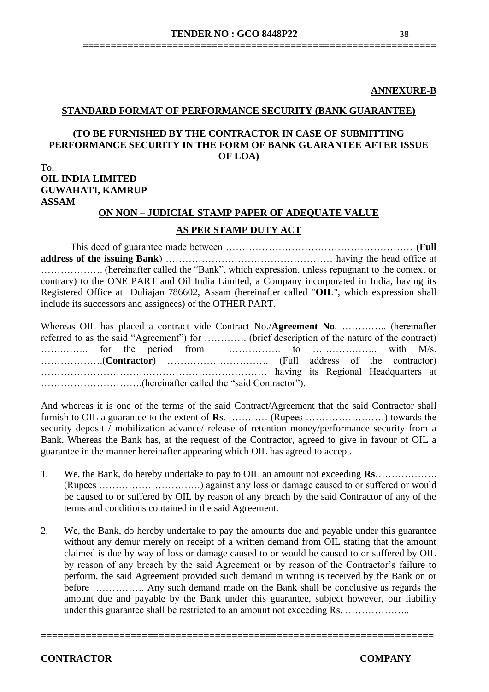#### **STANDARD FORMAT OF PERFORMANCE SECURITY (BANK GUARANTEE)**

#### **(TO BE FURNISHED BY THE CONTRACTOR IN CASE OF SUBMITTING PERFORMANCE SECURITY IN THE FORM OF BANK GUARANTEE AFTER ISSUE OF LOA)**

# To, **OIL INDIA LIMITED GUWAHATI, KAMRUP ASSAM**

#### **ON NON – JUDICIAL STAMP PAPER OF ADEQUATE VALUE**

#### **AS PER STAMP DUTY ACT**

This deed of guarantee made between ………………………………………………… (**Full address of the issuing Bank**) …………………………………………… having the head office at ………………. (hereinafter called the "Bank", which expression, unless repugnant to the context or contrary) to the ONE PART and Oil India Limited, a Company incorporated in India, having its Registered Office at Duliajan 786602, Assam (hereinafter called "**OIL**", which expression shall include its successors and assignees) of the OTHER PART.

Whereas OIL has placed a contract vide Contract No./**Agreement No**. ………….. (hereinafter referred to as the said "Agreement") for …………. (brief description of the nature of the contract) …….…….. for the period from ……………. to ……………….. with M/s. ……………….(**Contractor**) …………………………. (Full address of the contractor) …………………………………………………………… having its Regional Headquarters at ………………………….(hereinafter called the "said Contractor").

And whereas it is one of the terms of the said Contract/Agreement that the said Contractor shall furnish to OIL a guarantee to the extent of **Rs**. ………… (Rupees ……………………) towards the security deposit / mobilization advance/ release of retention money/performance security from a Bank. Whereas the Bank has, at the request of the Contractor, agreed to give in favour of OIL a guarantee in the manner hereinafter appearing which OIL has agreed to accept.

- 1. We, the Bank, do hereby undertake to pay to OIL an amount not exceeding **Rs**………………. (Rupees ………………………….) against any loss or damage caused to or suffered or would be caused to or suffered by OIL by reason of any breach by the said Contractor of any of the terms and conditions contained in the said Agreement.
- 2. We, the Bank, do hereby undertake to pay the amounts due and payable under this guarantee without any demur merely on receipt of a written demand from OIL stating that the amount claimed is due by way of loss or damage caused to or would be caused to or suffered by OIL by reason of any breach by the said Agreement or by reason of the Contractor's failure to perform, the said Agreement provided such demand in writing is received by the Bank on or before ……………. Any such demand made on the Bank shall be conclusive as regards the amount due and payable by the Bank under this guarantee, subject however, our liability under this guarantee shall be restricted to an amount not exceeding Rs. ………………..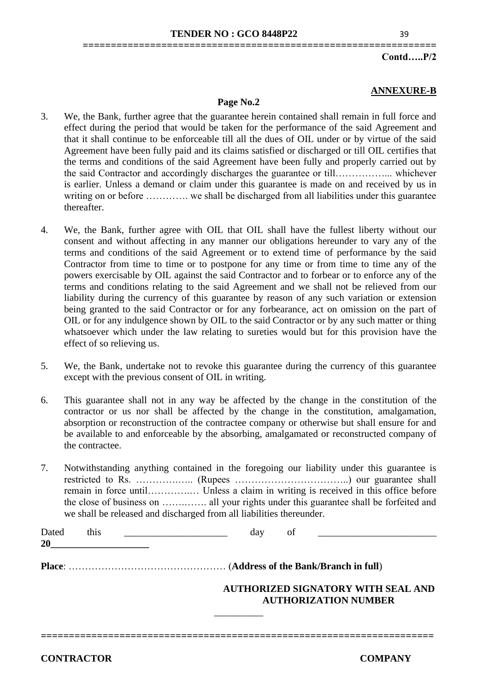**===============================================================**

#### **Contd…..P/2**

#### **ANNEXURE-B**

#### **Page No.2**

- 3. We, the Bank, further agree that the guarantee herein contained shall remain in full force and effect during the period that would be taken for the performance of the said Agreement and that it shall continue to be enforceable till all the dues of OIL under or by virtue of the said Agreement have been fully paid and its claims satisfied or discharged or till OIL certifies that the terms and conditions of the said Agreement have been fully and properly carried out by the said Contractor and accordingly discharges the guarantee or till……………... whichever is earlier. Unless a demand or claim under this guarantee is made on and received by us in writing on or before ………….. we shall be discharged from all liabilities under this guarantee thereafter.
- 4. We, the Bank, further agree with OIL that OIL shall have the fullest liberty without our consent and without affecting in any manner our obligations hereunder to vary any of the terms and conditions of the said Agreement or to extend time of performance by the said Contractor from time to time or to postpone for any time or from time to time any of the powers exercisable by OIL against the said Contractor and to forbear or to enforce any of the terms and conditions relating to the said Agreement and we shall not be relieved from our liability during the currency of this guarantee by reason of any such variation or extension being granted to the said Contractor or for any forbearance, act on omission on the part of OIL or for any indulgence shown by OIL to the said Contractor or by any such matter or thing whatsoever which under the law relating to sureties would but for this provision have the effect of so relieving us.
- 5. We, the Bank, undertake not to revoke this guarantee during the currency of this guarantee except with the previous consent of OIL in writing.
- 6. This guarantee shall not in any way be affected by the change in the constitution of the contractor or us nor shall be affected by the change in the constitution, amalgamation, absorption or reconstruction of the contractee company or otherwise but shall ensure for and be available to and enforceable by the absorbing, amalgamated or reconstructed company of the contractee.
- 7. Notwithstanding anything contained in the foregoing our liability under this guarantee is restricted to Rs. ………….….. (Rupees ……………………………..) our guarantee shall remain in force until………….… Unless a claim in writing is received in this office before the close of business on …….……. all your rights under this guarantee shall be forfeited and we shall be released and discharged from all liabilities thereunder.

| Dated<br>20 | this | dav<br>ΟÌ                                 |  |  |  |  |
|-------------|------|-------------------------------------------|--|--|--|--|
|             |      |                                           |  |  |  |  |
|             |      | <b>AUTHORIZED SIGNATORY WITH SEAL AND</b> |  |  |  |  |
|             |      | <b>AUTHORIZATION NUMBER</b>               |  |  |  |  |

\_\_\_\_\_\_\_\_\_\_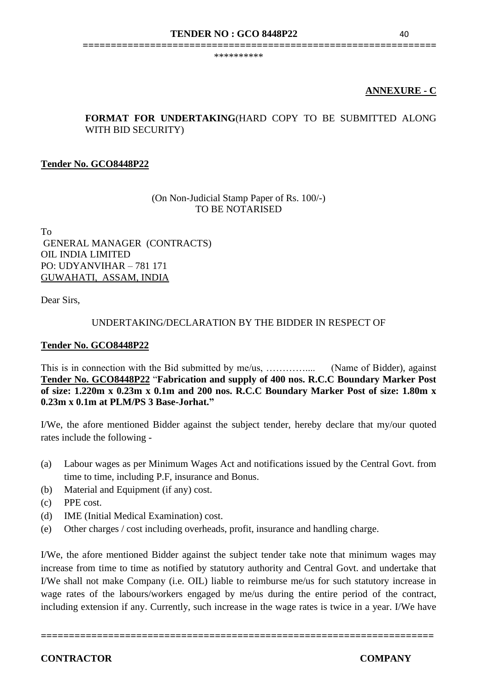\*\*\*\*\*\*\*\*\*\*

# **ANNEXURE - C**

# **FORMAT FOR UNDERTAKING**(HARD COPY TO BE SUBMITTED ALONG WITH BID SECURITY)

**===============================================================**

# **Tender No. GCO8448P22**

# (On Non-Judicial Stamp Paper of Rs. 100/-) TO BE NOTARISED

To GENERAL MANAGER (CONTRACTS) OIL INDIA LIMITED PO: UDYANVIHAR – 781 171 GUWAHATI, ASSAM, INDIA

Dear Sirs,

#### UNDERTAKING/DECLARATION BY THE BIDDER IN RESPECT OF

#### **Tender No. GCO8448P22**

This is in connection with the Bid submitted by me/us, ………….... (Name of Bidder), against **Tender No. GCO8448P22** "**Fabrication and supply of 400 nos. R.C.C Boundary Marker Post of size: 1.220m x 0.23m x 0.1m and 200 nos. R.C.C Boundary Marker Post of size: 1.80m x 0.23m x 0.1m at PLM/PS 3 Base-Jorhat."**

I/We, the afore mentioned Bidder against the subject tender, hereby declare that my/our quoted rates include the following -

- (a) Labour wages as per Minimum Wages Act and notifications issued by the Central Govt. from time to time, including P.F, insurance and Bonus.
- (b) Material and Equipment (if any) cost.
- (c) PPE cost.
- (d) IME (Initial Medical Examination) cost.
- (e) Other charges / cost including overheads, profit, insurance and handling charge.

I/We, the afore mentioned Bidder against the subject tender take note that minimum wages may increase from time to time as notified by statutory authority and Central Govt. and undertake that I/We shall not make Company (i.e. OIL) liable to reimburse me/us for such statutory increase in wage rates of the labours/workers engaged by me/us during the entire period of the contract, including extension if any. Currently, such increase in the wage rates is twice in a year. I/We have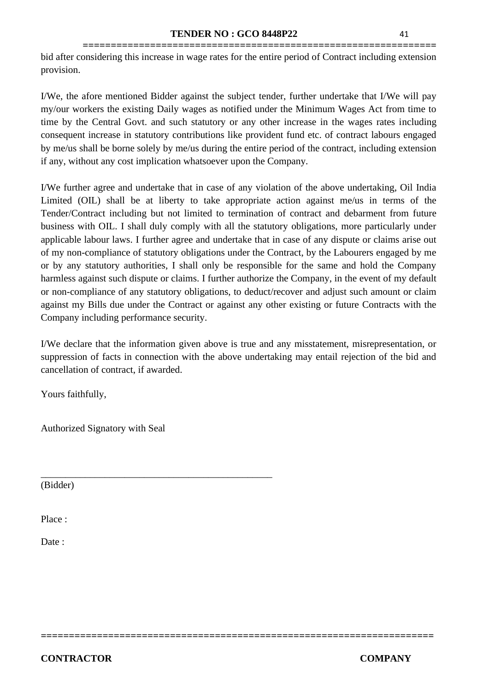**===============================================================** bid after considering this increase in wage rates for the entire period of Contract including extension provision.

I/We, the afore mentioned Bidder against the subject tender, further undertake that I/We will pay my/our workers the existing Daily wages as notified under the Minimum Wages Act from time to time by the Central Govt. and such statutory or any other increase in the wages rates including consequent increase in statutory contributions like provident fund etc. of contract labours engaged by me/us shall be borne solely by me/us during the entire period of the contract, including extension if any, without any cost implication whatsoever upon the Company.

I/We further agree and undertake that in case of any violation of the above undertaking, Oil India Limited (OIL) shall be at liberty to take appropriate action against me/us in terms of the Tender/Contract including but not limited to termination of contract and debarment from future business with OIL. I shall duly comply with all the statutory obligations, more particularly under applicable labour laws. I further agree and undertake that in case of any dispute or claims arise out of my non-compliance of statutory obligations under the Contract, by the Labourers engaged by me or by any statutory authorities, I shall only be responsible for the same and hold the Company harmless against such dispute or claims. I further authorize the Company, in the event of my default or non-compliance of any statutory obligations, to deduct/recover and adjust such amount or claim against my Bills due under the Contract or against any other existing or future Contracts with the Company including performance security.

I/We declare that the information given above is true and any misstatement, misrepresentation, or suppression of facts in connection with the above undertaking may entail rejection of the bid and cancellation of contract, if awarded.

**======================================================================** 

Yours faithfully,

Authorized Signatory with Seal

\_\_\_\_\_\_\_\_\_\_\_\_\_\_\_\_\_\_\_\_\_\_\_\_\_\_\_\_\_\_\_\_\_\_\_\_\_\_\_\_\_\_\_\_\_\_\_

(Bidder)

Place :

Date :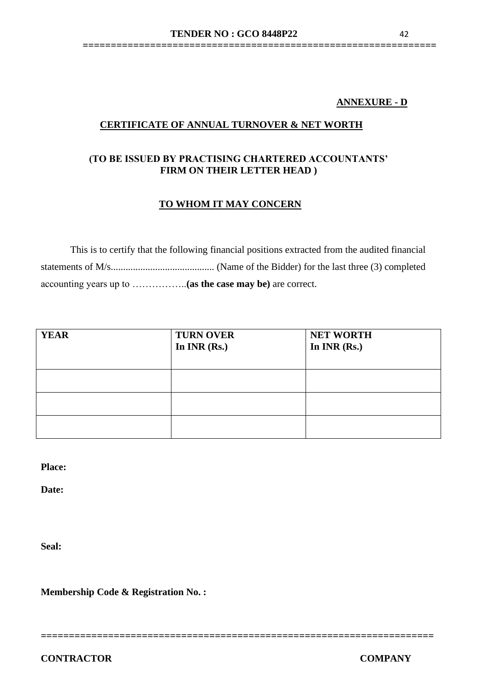# **ANNEXURE - D**

# **CERTIFICATE OF ANNUAL TURNOVER & NET WORTH**

# **(TO BE ISSUED BY PRACTISING CHARTERED ACCOUNTANTS' FIRM ON THEIR LETTER HEAD )**

#### **TO WHOM IT MAY CONCERN**

This is to certify that the following financial positions extracted from the audited financial statements of M/s.......................................... (Name of the Bidder) for the last three (3) completed accounting years up to ……………..**(as the case may be)** are correct.

| <b>YEAR</b> | <b>TURN OVER</b><br>In $INR(Rs.)$ | <b>NET WORTH</b><br>In $INR(Rs.)$ |
|-------------|-----------------------------------|-----------------------------------|
|             |                                   |                                   |
|             |                                   |                                   |
|             |                                   |                                   |

**Place:**

**Date:**

**Seal:**

**Membership Code & Registration No. :**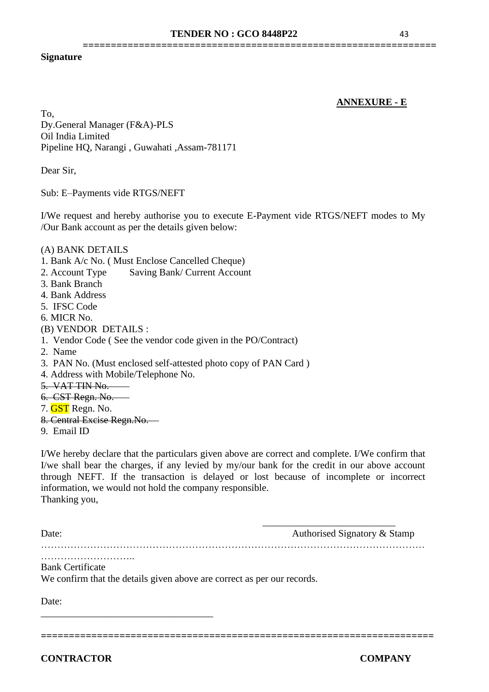**===============================================================**

#### **Signature**

#### **ANNEXURE - E**

To, Dy.General Manager (F&A)-PLS Oil India Limited Pipeline HQ, Narangi , Guwahati ,Assam-781171

Dear Sir,

Sub: E–Payments vide RTGS/NEFT

I/We request and hereby authorise you to execute E-Payment vide RTGS/NEFT modes to My /Our Bank account as per the details given below:

#### (A) BANK DETAILS

1. Bank A/c No. ( Must Enclose Cancelled Cheque)

- 2. Account Type Saving Bank/ Current Account
- 3. Bank Branch
- 4. Bank Address
- 5. IFSC Code
- 6. MICR No.
- (B) VENDOR DETAILS :
- 1. Vendor Code ( See the vendor code given in the PO/Contract)
- 2. Name
- 3. PAN No. (Must enclosed self-attested photo copy of PAN Card )
- 4. Address with Mobile/Telephone No.
- 5. VAT TIN No.
- 6. CST Regn. No.
- 7. **GST** Regn. No.
- 8. Central Excise Regn.No.
- 9. Email ID

I/We hereby declare that the particulars given above are correct and complete. I/We confirm that I/we shall bear the charges, if any levied by my/our bank for the credit in our above account through NEFT. If the transaction is delayed or lost because of incomplete or incorrect information, we would not hold the company responsible. Thanking you,

Date: Authorised Signatory & Stamp

 $\frac{1}{\sqrt{2}}$  ,  $\frac{1}{\sqrt{2}}$  ,  $\frac{1}{\sqrt{2}}$  ,  $\frac{1}{\sqrt{2}}$  ,  $\frac{1}{\sqrt{2}}$  ,  $\frac{1}{\sqrt{2}}$  ,  $\frac{1}{\sqrt{2}}$  ,  $\frac{1}{\sqrt{2}}$  ,  $\frac{1}{\sqrt{2}}$  ,  $\frac{1}{\sqrt{2}}$  ,  $\frac{1}{\sqrt{2}}$  ,  $\frac{1}{\sqrt{2}}$  ,  $\frac{1}{\sqrt{2}}$  ,  $\frac{1}{\sqrt{2}}$  ,  $\frac{1}{\sqrt{2}}$ 

………………………………………………………………………………………………………

……………………….. Bank Certificate

We confirm that the details given above are correct as per our records.

Date:

**CONTRACTOR COMPANY**

**======================================================================** 

\_\_\_\_\_\_\_\_\_\_\_\_\_\_\_\_\_\_\_\_\_\_\_\_\_\_\_\_\_\_\_\_\_\_\_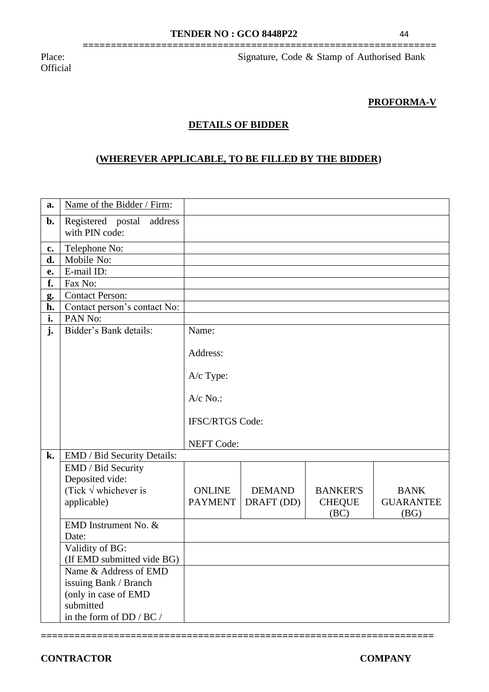**===============================================================**

**Official** 

Place: Signature, Code & Stamp of Authorised Bank

#### **PROFORMA-V**

#### **DETAILS OF BIDDER**

# **(WHEREVER APPLICABLE, TO BE FILLED BY THE BIDDER)**

| a.             | Name of the Bidder / Firm:                     |                        |               |                       |                          |
|----------------|------------------------------------------------|------------------------|---------------|-----------------------|--------------------------|
| b.             | Registered postal<br>address<br>with PIN code: |                        |               |                       |                          |
| $\mathbf{c}$ . | Telephone No:                                  |                        |               |                       |                          |
| d.             | Mobile No:                                     |                        |               |                       |                          |
| e.             | E-mail ID:                                     |                        |               |                       |                          |
| f.             | Fax No:                                        |                        |               |                       |                          |
| g.             | <b>Contact Person:</b>                         |                        |               |                       |                          |
| h.             | Contact person's contact No:                   |                        |               |                       |                          |
| i.             | PAN No:                                        |                        |               |                       |                          |
| $\mathbf{j}$ . | Bidder's Bank details:                         | Name:                  |               |                       |                          |
|                |                                                | Address:               |               |                       |                          |
|                |                                                | A/c Type:              |               |                       |                          |
|                |                                                | $A/c$ No.:             |               |                       |                          |
|                |                                                | <b>IFSC/RTGS Code:</b> |               |                       |                          |
|                |                                                | <b>NEFT Code:</b>      |               |                       |                          |
| k.             | EMD / Bid Security Details:                    |                        |               |                       |                          |
|                | EMD / Bid Security                             |                        |               |                       |                          |
|                | Deposited vide:                                |                        |               |                       |                          |
|                | (Tick $\sqrt{}$ whichever is                   | <b>ONLINE</b>          | <b>DEMAND</b> | <b>BANKER'S</b>       | <b>BANK</b>              |
|                | applicable)                                    | <b>PAYMENT</b>         | DRAFT (DD)    | <b>CHEQUE</b><br>(BC) | <b>GUARANTEE</b><br>(BG) |
|                | EMD Instrument No. &                           |                        |               |                       |                          |
|                | Date:                                          |                        |               |                       |                          |
|                | Validity of BG:                                |                        |               |                       |                          |
|                | (If EMD submitted vide BG)                     |                        |               |                       |                          |
|                | Name & Address of EMD<br>issuing Bank / Branch |                        |               |                       |                          |
|                | (only in case of EMD                           |                        |               |                       |                          |
|                | submitted                                      |                        |               |                       |                          |
|                | in the form of DD / BC /                       |                        |               |                       |                          |
|                |                                                |                        |               |                       |                          |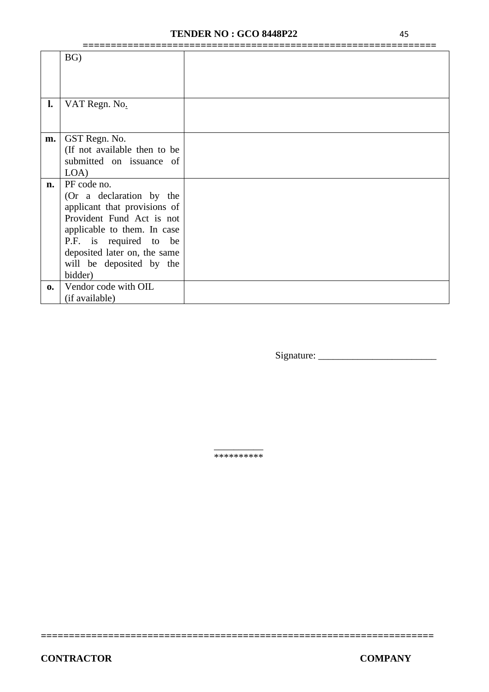# **TENDER NO : GCO 8448P22** 45

|                | BG)                          |  |
|----------------|------------------------------|--|
|                |                              |  |
|                |                              |  |
|                |                              |  |
|                |                              |  |
| $\mathbf{l}$ . | VAT Regn. No.                |  |
|                |                              |  |
|                |                              |  |
|                |                              |  |
| m.             | GST Regn. No.                |  |
|                | (If not available then to be |  |
|                | submitted on issuance of     |  |
|                | LOA)                         |  |
| n.             | PF code no.                  |  |
|                | (Or a declaration by the     |  |
|                | applicant that provisions of |  |
|                | Provident Fund Act is not    |  |
|                |                              |  |
|                | applicable to them. In case  |  |
|                | P.F. is required to be       |  |
|                | deposited later on, the same |  |
|                | will be deposited by the     |  |
|                | bidder)                      |  |
|                |                              |  |
| $\mathbf{0}$   | Vendor code with OIL         |  |
|                | (if available)               |  |

Signature: \_\_\_\_\_\_\_\_\_\_\_\_\_\_\_\_\_\_\_\_\_\_\_\_

\_\_\_\_\_\_\_\_\_\_ \*\*\*\*\*\*\*\*\*\*